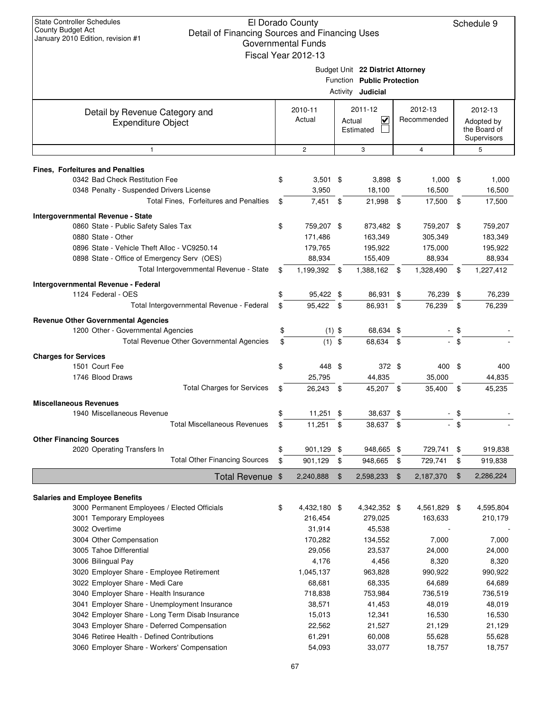|                                                                                       |     | Fiscal Year 2012-13 |                                  |                 |      |              |
|---------------------------------------------------------------------------------------|-----|---------------------|----------------------------------|-----------------|------|--------------|
|                                                                                       |     |                     | Budget Unit 22 District Attorney |                 |      |              |
|                                                                                       |     |                     | Function Public Protection       |                 |      |              |
|                                                                                       |     |                     | Activity <b>Judicial</b>         |                 |      |              |
| Detail by Revenue Category and                                                        |     | 2010-11             | 2011-12                          | 2012-13         |      | 2012-13      |
| <b>Expenditure Object</b>                                                             |     | Actual              | $\blacktriangledown$<br>Actual   | Recommended     |      | Adopted by   |
|                                                                                       |     |                     | Estimated                        |                 |      | the Board of |
| $\mathbf{1}$                                                                          |     | $\mathbf{2}$        |                                  | $\overline{4}$  |      | Supervisors  |
|                                                                                       |     |                     | 3                                |                 |      | 5            |
| <b>Fines, Forfeitures and Penalties</b>                                               |     |                     |                                  |                 |      |              |
| 0342 Bad Check Restitution Fee                                                        | \$  | $3,501$ \$          | $3,898$ \$                       | $1,000$ \$      |      | 1,000        |
| 0348 Penalty - Suspended Drivers License                                              |     | 3,950               | 18,100                           | 16,500          |      | 16,500       |
| Total Fines, Forfeitures and Penalties                                                | \$  | $7,451$ \$          | 21,998 \$                        | 17,500          | \$   | 17,500       |
| Intergovernmental Revenue - State                                                     |     |                     |                                  |                 |      |              |
| 0860 State - Public Safety Sales Tax                                                  | \$  | 759,207 \$          | 873,482 \$                       | 759,207 \$      |      | 759,207      |
| 0880 State - Other                                                                    |     | 171,486             | 163,349                          | 305,349         |      | 183,349      |
| 0896 State - Vehicle Theft Alloc - VC9250.14                                          |     | 179,765             | 195,922                          | 175,000         |      | 195,922      |
| 0898 State - Office of Emergency Serv (OES)                                           |     | 88,934              | 155,409                          | 88,934          |      | 88,934       |
| Total Intergovernmental Revenue - State                                               | \$  | 1,199,392 \$        | 1,388,162 \$                     | 1,328,490       | \$   | 1,227,412    |
| Intergovernmental Revenue - Federal                                                   |     |                     |                                  |                 |      |              |
| 1124 Federal - OES                                                                    | \$  | 95,422 \$           | 86,931 \$                        | 76,239          | \$   | 76,239       |
| Total Intergovernmental Revenue - Federal                                             | \$  | 95,422 \$           | 86,931 \$                        | 76,239          | \$   | 76,239       |
| <b>Revenue Other Governmental Agencies</b>                                            |     |                     |                                  |                 |      |              |
| 1200 Other - Governmental Agencies                                                    | \$  | $(1)$ \$            | 68,634 \$                        |                 | \$   |              |
| Total Revenue Other Governmental Agencies                                             | \$  | $(1)$ \$            | 68,634 \$                        |                 | - \$ |              |
| <b>Charges for Services</b>                                                           |     |                     |                                  |                 |      |              |
| 1501 Court Fee                                                                        | \$  | 448 \$              | 372 \$                           | 400             | \$   | 400          |
| 1746 Blood Draws                                                                      |     | 25,795              | 44,835                           | 35,000          |      | 44,835       |
| <b>Total Charges for Services</b>                                                     | \$  | 26,243 \$           | 45,207 \$                        | 35,400          | \$   | 45,235       |
| <b>Miscellaneous Revenues</b>                                                         |     |                     |                                  |                 |      |              |
| 1940 Miscellaneous Revenue                                                            | \$  | $11,251$ \$         | 38,637 \$                        |                 | \$   |              |
| <b>Total Miscellaneous Revenues</b>                                                   | \$  | 11,251              | \$<br>38,637 \$                  |                 | \$   |              |
| <b>Other Financing Sources</b>                                                        |     |                     |                                  |                 |      |              |
| 2020 Operating Transfers In                                                           | \$. | 901,129 \$          | 948,665                          | 729,741         |      | 919,838      |
| <b>Total Other Financing Sources</b>                                                  | \$  | 901,129             | \$<br>948,665                    | \$<br>729,741   | \$   | 919,838      |
| Total Revenue \$                                                                      |     | 2,240,888           | \$<br>2,598,233                  | \$<br>2,187,370 | \$   | 2,286,224    |
|                                                                                       |     |                     |                                  |                 |      |              |
| <b>Salaries and Employee Benefits</b><br>3000 Permanent Employees / Elected Officials | \$  | 4,432,180 \$        | 4,342,352 \$                     | 4,561,829       | \$   | 4,595,804    |
| 3001 Temporary Employees                                                              |     | 216,454             | 279,025                          | 163,633         |      | 210,179      |
| 3002 Overtime                                                                         |     | 31,914              | 45,538                           |                 |      |              |
| 3004 Other Compensation                                                               |     | 170,282             | 134,552                          | 7,000           |      | 7,000        |
| 3005 Tahoe Differential                                                               |     | 29,056              | 23,537                           | 24,000          |      | 24,000       |
| 3006 Bilingual Pay                                                                    |     | 4,176               | 4,456                            | 8,320           |      | 8,320        |
| 3020 Employer Share - Employee Retirement                                             |     | 1,045,137           | 963,828                          | 990,922         |      | 990,922      |
| 3022 Employer Share - Medi Care                                                       |     | 68,681              | 68,335                           | 64,689          |      | 64,689       |
| 3040 Employer Share - Health Insurance                                                |     | 718,838             | 753,984                          | 736,519         |      | 736,519      |
| 3041 Employer Share - Unemployment Insurance                                          |     | 38,571              | 41,453                           | 48,019          |      | 48,019       |
| 3042 Employer Share - Long Term Disab Insurance                                       |     | 15,013              | 12,341                           | 16,530          |      | 16,530       |
| 3043 Employer Share - Deferred Compensation                                           |     | 22,562              | 21,527                           | 21,129          |      | 21,129       |
| 3046 Retiree Health - Defined Contributions                                           |     | 61,291              | 60,008                           | 55,628          |      | 55,628       |
| 3060 Employer Share - Workers' Compensation                                           |     | 54,093              | 33,077                           | 18,757          |      | 18,757       |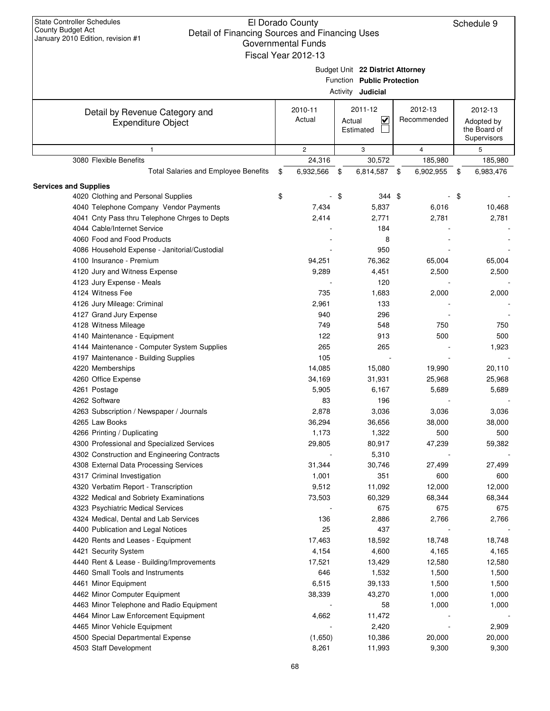|                                                          | Governmental Funds  |                                   |                 |                             |
|----------------------------------------------------------|---------------------|-----------------------------------|-----------------|-----------------------------|
|                                                          | Fiscal Year 2012-13 |                                   |                 |                             |
|                                                          |                     | Budget Unit 22 District Attorney  |                 |                             |
|                                                          |                     | Function Public Protection        |                 |                             |
|                                                          |                     | Activity <b>Judicial</b>          |                 |                             |
|                                                          |                     |                                   |                 |                             |
| Detail by Revenue Category and                           | 2010-11             | 2011-12                           | 2012-13         | 2012-13                     |
| <b>Expenditure Object</b>                                | Actual              | $\overline{\mathsf{v}}$<br>Actual | Recommended     | Adopted by                  |
|                                                          |                     | Estimated                         |                 | the Board of<br>Supervisors |
| $\mathbf{1}$                                             | $\mathbf{2}$        | 3                                 | $\overline{4}$  | 5                           |
| 3080 Flexible Benefits                                   | 24,316              | 30,572                            | 185,980         | 185,980                     |
| Total Salaries and Employee Benefits                     | \$<br>6,932,566     | \$<br>6,814,587                   | \$<br>6,902,955 | \$<br>6,983,476             |
| <b>Services and Supplies</b>                             |                     |                                   |                 |                             |
| 4020 Clothing and Personal Supplies                      | \$                  | \$<br>344 \$                      |                 | \$                          |
| 4040 Telephone Company Vendor Payments                   | 7,434               | 5,837                             | 6,016           | 10,468                      |
| 4041 Cnty Pass thru Telephone Chrges to Depts            | 2,414               | 2,771                             | 2,781           | 2,781                       |
| 4044 Cable/Internet Service                              |                     | 184                               |                 |                             |
| 4060 Food and Food Products                              |                     | 8                                 |                 |                             |
| 4086 Household Expense - Janitorial/Custodial            |                     | 950                               |                 |                             |
| 4100 Insurance - Premium                                 | 94,251              | 76,362                            | 65,004          | 65,004                      |
| 4120 Jury and Witness Expense                            | 9,289               | 4,451                             | 2,500           | 2,500                       |
| 4123 Jury Expense - Meals                                |                     | 120                               |                 |                             |
| 4124 Witness Fee                                         | 735                 | 1,683                             | 2,000           | 2,000                       |
| 4126 Jury Mileage: Criminal                              | 2,961               | 133                               |                 |                             |
| 4127 Grand Jury Expense                                  | 940                 | 296                               |                 |                             |
| 4128 Witness Mileage                                     | 749                 | 548                               | 750             | 750                         |
| 4140 Maintenance - Equipment                             | 122                 | 913                               | 500             | 500                         |
|                                                          | 265                 | 265                               |                 |                             |
| 4144 Maintenance - Computer System Supplies              | 105                 |                                   |                 | 1,923                       |
| 4197 Maintenance - Building Supplies<br>4220 Memberships | 14,085              | 15,080                            | 19,990          |                             |
|                                                          |                     |                                   |                 | 20,110                      |
| 4260 Office Expense                                      | 34,169              | 31,931                            | 25,968          | 25,968                      |
| 4261 Postage<br>4262 Software                            | 5,905<br>83         | 6,167<br>196                      | 5,689           | 5,689                       |
|                                                          | 2,878               | 3,036                             |                 |                             |
| 4263 Subscription / Newspaper / Journals                 |                     |                                   | 3,036           | 3,036                       |
| 4265 Law Books                                           | 36,294              | 36,656                            | 38,000          | 38,000                      |
| 4266 Printing / Duplicating                              | 1,173               | 1,322                             | 500             | 500                         |
| 4300 Professional and Specialized Services               | 29,805              | 80,917                            | 47,239          | 59,382                      |
| 4302 Construction and Engineering Contracts              |                     | 5,310                             |                 |                             |
| 4308 External Data Processing Services                   | 31,344              | 30,746                            | 27,499          | 27,499                      |
| 4317 Criminal Investigation                              | 1,001               | 351                               | 600             | 600                         |
| 4320 Verbatim Report - Transcription                     | 9,512               | 11,092                            | 12,000          | 12,000                      |
| 4322 Medical and Sobriety Examinations                   | 73,503              | 60,329                            | 68,344          | 68,344                      |
| 4323 Psychiatric Medical Services                        |                     | 675                               | 675             | 675                         |
| 4324 Medical, Dental and Lab Services                    | 136                 | 2,886                             | 2,766           | 2,766                       |
| 4400 Publication and Legal Notices                       | 25                  | 437                               |                 |                             |
| 4420 Rents and Leases - Equipment                        | 17,463              | 18,592                            | 18,748          | 18,748                      |
| 4421 Security System                                     | 4,154               | 4,600                             | 4,165           | 4,165                       |
| 4440 Rent & Lease - Building/Improvements                | 17,521              | 13,429                            | 12,580          | 12,580                      |
| 4460 Small Tools and Instruments                         | 646                 | 1,532                             | 1,500           | 1,500                       |
| 4461 Minor Equipment                                     | 6,515               | 39,133                            | 1,500           | 1,500                       |
| 4462 Minor Computer Equipment                            | 38,339              | 43,270                            | 1,000           | 1,000                       |
| 4463 Minor Telephone and Radio Equipment                 |                     | 58                                | 1,000           | 1,000                       |
| 4464 Minor Law Enforcement Equipment                     | 4,662               | 11,472                            |                 |                             |
| 4465 Minor Vehicle Equipment                             |                     | 2,420                             |                 | 2,909                       |
| 4500 Special Departmental Expense                        | (1,650)             | 10,386                            | 20,000          | 20,000                      |
| 4503 Staff Development                                   | 8,261               | 11,993                            | 9,300           | 9,300                       |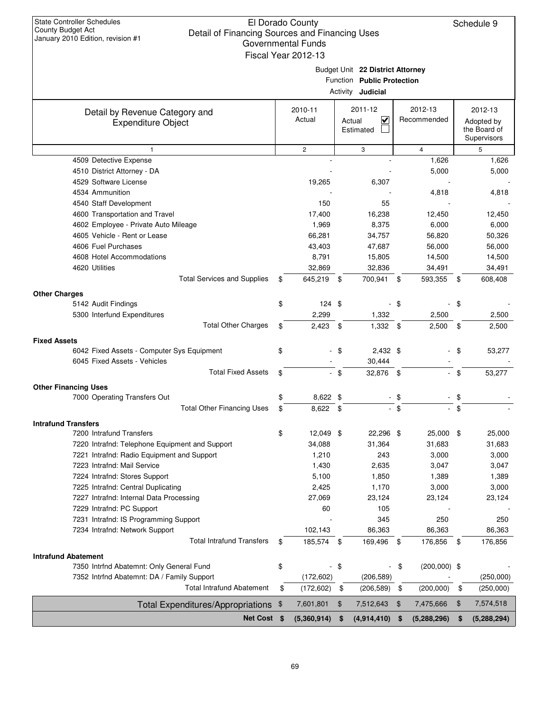| January ZUTU Eultion, revision # i                                   |                | <b>Governmental Funds</b><br>Fiscal Year 2012-13 |        |                                                                                            |      |                        |        |                                                      |
|----------------------------------------------------------------------|----------------|--------------------------------------------------|--------|--------------------------------------------------------------------------------------------|------|------------------------|--------|------------------------------------------------------|
|                                                                      |                |                                                  |        | Budget Unit 22 District Attorney<br>Function Public Protection<br>Activity <b>Judicial</b> |      |                        |        |                                                      |
| Detail by Revenue Category and<br>Expenditure Object                 |                | 2010-11<br>Actual                                |        | 2011-12<br>$\checkmark$<br>Actual<br>Estimated                                             |      | 2012-13<br>Recommended |        | 2012-13<br>Adopted by<br>the Board of<br>Supervisors |
| $\mathbf{1}$                                                         |                | $\mathbf{2}$                                     |        | 3                                                                                          |      | $\overline{4}$         |        | 5                                                    |
| 4509 Detective Expense                                               |                |                                                  |        |                                                                                            |      | 1,626                  |        | 1,626                                                |
| 4510 District Attorney - DA                                          |                |                                                  |        |                                                                                            |      | 5,000                  |        | 5,000                                                |
| 4529 Software License                                                |                | 19,265                                           |        | 6,307                                                                                      |      |                        |        |                                                      |
| 4534 Ammunition                                                      |                |                                                  |        |                                                                                            |      | 4,818                  |        | 4,818                                                |
| 4540 Staff Development                                               |                | 150                                              |        | 55                                                                                         |      |                        |        |                                                      |
| 4600 Transportation and Travel                                       |                | 17,400                                           |        | 16,238                                                                                     |      | 12,450                 |        | 12,450                                               |
| 4602 Employee - Private Auto Mileage                                 |                | 1,969                                            |        | 8,375                                                                                      |      | 6,000                  |        | 6,000                                                |
| 4605 Vehicle - Rent or Lease                                         |                | 66,281                                           |        | 34,757                                                                                     |      | 56,820                 |        | 50,326                                               |
| 4606 Fuel Purchases                                                  |                | 43,403                                           |        | 47,687                                                                                     |      | 56,000                 |        | 56,000                                               |
| 4608 Hotel Accommodations                                            |                | 8,791                                            |        | 15,805                                                                                     |      | 14,500                 |        | 14,500                                               |
| 4620 Utilities                                                       |                | 32,869                                           |        | 32,836                                                                                     |      | 34,491                 |        | 34,491                                               |
| <b>Total Services and Supplies</b>                                   | \$             | 645,219 \$                                       |        | 700,941                                                                                    | \$   | 593,355                | \$     | 608,408                                              |
| <b>Other Charges</b>                                                 |                |                                                  |        |                                                                                            |      |                        |        |                                                      |
| 5142 Audit Findings                                                  | \$             | $124 \text{ } $$                                 |        |                                                                                            | - \$ |                        | - \$   |                                                      |
| 5300 Interfund Expenditures                                          |                | 2,299                                            |        | 1,332                                                                                      |      | 2,500                  |        | 2,500                                                |
| <b>Total Other Charges</b>                                           | \$             | $2,423$ \$                                       |        | $1,332$ \$                                                                                 |      | 2,500                  | \$     | 2,500                                                |
| <b>Fixed Assets</b>                                                  |                |                                                  |        |                                                                                            |      |                        |        |                                                      |
| 6042 Fixed Assets - Computer Sys Equipment                           | \$             |                                                  | - \$   | $2,432$ \$                                                                                 |      |                        | \$     | 53,277                                               |
| 6045 Fixed Assets - Vehicles                                         |                |                                                  |        | 30,444                                                                                     |      |                        |        |                                                      |
| <b>Total Fixed Assets</b>                                            | \$             |                                                  | $-$ \$ | 32,876 \$                                                                                  |      |                        | \$     | 53,277                                               |
|                                                                      |                |                                                  |        |                                                                                            |      |                        |        |                                                      |
| <b>Other Financing Uses</b><br>7000 Operating Transfers Out          | \$             | 8,622 \$                                         |        |                                                                                            | - \$ |                        | \$     |                                                      |
| <b>Total Other Financing Uses</b>                                    | \$             | 8,622 \$                                         |        |                                                                                            | - \$ |                        | $-$ \$ |                                                      |
|                                                                      |                |                                                  |        |                                                                                            |      |                        |        |                                                      |
| <b>Intrafund Transfers</b>                                           |                |                                                  |        |                                                                                            |      |                        |        |                                                      |
| 7200 Intrafund Transfers                                             | \$             | $12,049$ \$                                      |        | 22,296 \$                                                                                  |      | 25,000 \$              |        | 25,000                                               |
| 7220 Intrafnd: Telephone Equipment and Support                       |                | 34,088                                           |        | 31,364                                                                                     |      | 31,683                 |        | 31,683                                               |
| 7221 Intrafnd: Radio Equipment and Support                           |                | 1,210                                            |        | 243                                                                                        |      | 3,000                  |        | 3,000                                                |
| 7223 Intrafnd: Mail Service                                          |                | 1,430                                            |        | 2,635                                                                                      |      | 3,047                  |        | 3,047                                                |
| 7224 Intrafnd: Stores Support                                        |                | 5,100                                            |        | 1,850                                                                                      |      | 1,389                  |        | 1,389                                                |
| 7225 Intrafnd: Central Duplicating                                   |                | 2,425                                            |        | 1,170                                                                                      |      | 3,000                  |        | 3,000                                                |
| 7227 Intrafnd: Internal Data Processing<br>7229 Intrafnd: PC Support |                | 27,069<br>60                                     |        | 23,124<br>105                                                                              |      | 23,124                 |        | 23,124                                               |
| 7231 Intrafnd: IS Programming Support                                |                |                                                  |        | 345                                                                                        |      | 250                    |        | 250                                                  |
| 7234 Intrafnd: Network Support                                       |                | 102,143                                          |        | 86,363                                                                                     |      | 86,363                 |        | 86,363                                               |
| <b>Total Intrafund Transfers</b>                                     | \$             | 185,574 \$                                       |        | 169,496 \$                                                                                 |      | 176,856                | \$     | 176,856                                              |
|                                                                      |                |                                                  |        |                                                                                            |      |                        |        |                                                      |
| <b>Intrafund Abatement</b>                                           |                |                                                  |        |                                                                                            |      |                        |        |                                                      |
| 7350 Intrfnd Abatemnt: Only General Fund                             | \$             |                                                  | \$     |                                                                                            | \$   | $(200,000)$ \$         |        |                                                      |
| 7352 Intrfnd Abatemnt: DA / Family Support                           |                | (172, 602)                                       |        | (206, 589)                                                                                 |      |                        |        | (250,000)                                            |
| <b>Total Intrafund Abatement</b>                                     | \$             | (172, 602)                                       | \$     | (206, 589)                                                                                 | \$   | (200,000)              | \$     | (250,000)                                            |
| Total Expenditures/Appropriations                                    | $\mathfrak{F}$ | 7,601,801                                        | \$     | 7,512,643                                                                                  | \$   | 7,475,666              | \$     | 7,574,518                                            |
| Net Cost \$                                                          |                | (5,360,914)                                      | \$     | (4,914,410)                                                                                | \$   | (5,288,296)            | \$     | (5,288,294)                                          |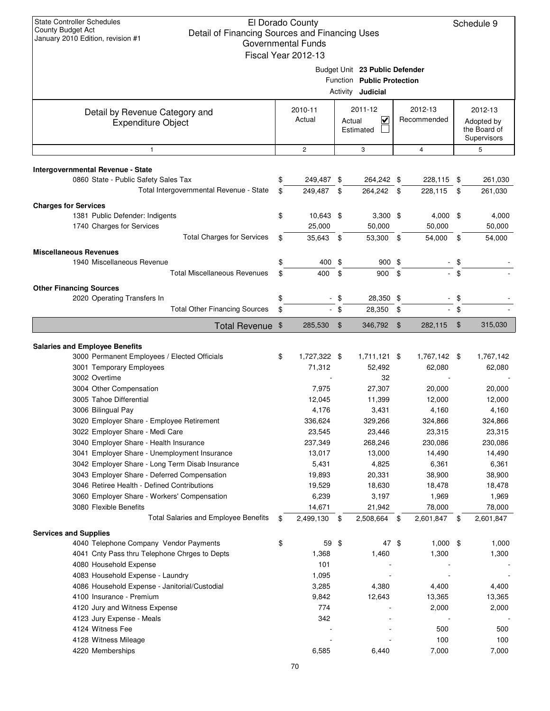|                                                                                                | Fiscal Year 2012-13  |                |                                                                                          |                     |                |                                           |
|------------------------------------------------------------------------------------------------|----------------------|----------------|------------------------------------------------------------------------------------------|---------------------|----------------|-------------------------------------------|
|                                                                                                |                      |                | Budget Unit 23 Public Defender<br>Function Public Protection<br>Activity <b>Judicial</b> |                     |                |                                           |
| Detail by Revenue Category and                                                                 | 2010-11              |                | 2011-12                                                                                  | 2012-13             |                | 2012-13                                   |
| <b>Expenditure Object</b>                                                                      | Actual               |                | $\overline{\mathbf{v}}$<br>Actual<br>Estimated                                           | Recommended         |                | Adopted by<br>the Board of<br>Supervisors |
| $\mathbf{1}$                                                                                   | $\mathbf{2}$         |                | 3                                                                                        | 4                   |                | 5                                         |
|                                                                                                |                      |                |                                                                                          |                     |                |                                           |
| Intergovernmental Revenue - State<br>0860 State - Public Safety Sales Tax                      | \$<br>249,487 \$     |                | 264,242 \$                                                                               | 228,115 \$          |                | 261,030                                   |
| Total Intergovernmental Revenue - State                                                        | \$<br>249,487        | - \$           | 264,242 \$                                                                               | 228,115             | - \$           | 261,030                                   |
|                                                                                                |                      |                |                                                                                          |                     |                |                                           |
| <b>Charges for Services</b>                                                                    |                      |                |                                                                                          |                     |                |                                           |
| 1381 Public Defender: Indigents                                                                | \$<br>10,643 \$      |                | $3,300$ \$                                                                               | $4,000$ \$          |                | 4,000                                     |
| 1740 Charges for Services                                                                      | 25,000               |                | 50,000                                                                                   | 50,000              |                | 50,000                                    |
| <b>Total Charges for Services</b>                                                              | \$<br>35,643 \$      |                | 53,300 \$                                                                                | 54,000              | \$             | 54,000                                    |
| <b>Miscellaneous Revenues</b>                                                                  |                      |                |                                                                                          |                     |                |                                           |
| 1940 Miscellaneous Revenue                                                                     | \$<br>400 \$         |                | $900 \text{ } $$                                                                         |                     | - \$           |                                           |
| <b>Total Miscellaneous Revenues</b>                                                            | \$<br>400            | \$             | 900 \$                                                                                   |                     | - \$           |                                           |
| <b>Other Financing Sources</b>                                                                 |                      |                |                                                                                          |                     |                |                                           |
| 2020 Operating Transfers In                                                                    | \$                   | - \$           | 28,350 \$                                                                                |                     | - \$           |                                           |
| <b>Total Other Financing Sources</b>                                                           | \$                   | $-$ \$         | 28,350 \$                                                                                |                     | - \$           |                                           |
| Total Revenue \$                                                                               | 285,530              | $\mathfrak{S}$ | 346,792 \$                                                                               | 282,115             | $\mathfrak{S}$ | 315,030                                   |
|                                                                                                |                      |                |                                                                                          |                     |                |                                           |
| <b>Salaries and Employee Benefits</b>                                                          |                      |                |                                                                                          |                     |                |                                           |
| 3000 Permanent Employees / Elected Officials                                                   | \$<br>1,727,322 \$   |                | $1,711,121$ \$                                                                           | 1,767,142 \$        |                | 1,767,142                                 |
| 3001 Temporary Employees                                                                       | 71,312               |                | 52,492                                                                                   | 62,080              |                | 62,080                                    |
| 3002 Overtime                                                                                  |                      |                | 32                                                                                       |                     |                |                                           |
| 3004 Other Compensation                                                                        | 7,975                |                | 27,307                                                                                   | 20,000              |                | 20,000                                    |
| 3005 Tahoe Differential                                                                        | 12,045               |                | 11,399                                                                                   | 12,000              |                | 12,000                                    |
| 3006 Bilingual Pay                                                                             | 4,176                |                | 3,431                                                                                    | 4,160               |                | 4,160                                     |
| 3020 Employer Share - Employee Retirement                                                      | 336,624              |                | 329,266                                                                                  | 324,866             |                | 324,866                                   |
| 3022 Employer Share - Medi Care                                                                | 23,545               |                | 23,446                                                                                   | 23,315              |                | 23,315                                    |
| 3040 Employer Share - Health Insurance                                                         | 237,349              |                | 268,246                                                                                  | 230,086             |                | 230,086                                   |
| 3041 Employer Share - Unemployment Insurance                                                   | 13,017               |                | 13,000                                                                                   | 14,490              |                | 14,490                                    |
| 3042 Employer Share - Long Term Disab Insurance<br>3043 Employer Share - Deferred Compensation | 5,431<br>19,893      |                | 4,825<br>20,331                                                                          | 6,361<br>38,900     |                | 6,361<br>38,900                           |
| 3046 Retiree Health - Defined Contributions                                                    | 19,529               |                | 18,630                                                                                   | 18,478              |                | 18,478                                    |
| 3060 Employer Share - Workers' Compensation                                                    | 6,239                |                | 3,197                                                                                    | 1,969               |                | 1,969                                     |
| 3080 Flexible Benefits                                                                         | 14,671               |                | 21,942                                                                                   | 78,000              |                | 78,000                                    |
| <b>Total Salaries and Employee Benefits</b>                                                    | \$<br>2,499,130 \$   |                | 2,508,664 \$                                                                             | 2,601,847           | \$             | 2,601,847                                 |
|                                                                                                |                      |                |                                                                                          |                     |                |                                           |
| <b>Services and Supplies</b>                                                                   |                      |                | 47 \$                                                                                    |                     |                |                                           |
| 4040 Telephone Company Vendor Payments<br>4041 Cnty Pass thru Telephone Chrges to Depts        | \$<br>59 \$<br>1,368 |                | 1,460                                                                                    | $1,000$ \$<br>1,300 |                | 1,000<br>1,300                            |
| 4080 Household Expense                                                                         | 101                  |                |                                                                                          |                     |                |                                           |
| 4083 Household Expense - Laundry                                                               | 1,095                |                |                                                                                          |                     |                |                                           |
| 4086 Household Expense - Janitorial/Custodial                                                  | 3,285                |                | 4,380                                                                                    | 4,400               |                | 4,400                                     |
| 4100 Insurance - Premium                                                                       | 9,842                |                | 12,643                                                                                   | 13,365              |                | 13,365                                    |
| 4120 Jury and Witness Expense                                                                  | 774                  |                |                                                                                          | 2,000               |                | 2,000                                     |
| 4123 Jury Expense - Meals                                                                      | 342                  |                |                                                                                          |                     |                |                                           |
| 4124 Witness Fee                                                                               |                      |                |                                                                                          | 500                 |                | 500                                       |
| 4128 Witness Mileage                                                                           |                      |                |                                                                                          | 100                 |                | 100                                       |
| 4220 Memberships                                                                               | 6,585                |                | 6,440                                                                                    | 7,000               |                | 7,000                                     |
|                                                                                                |                      |                |                                                                                          |                     |                |                                           |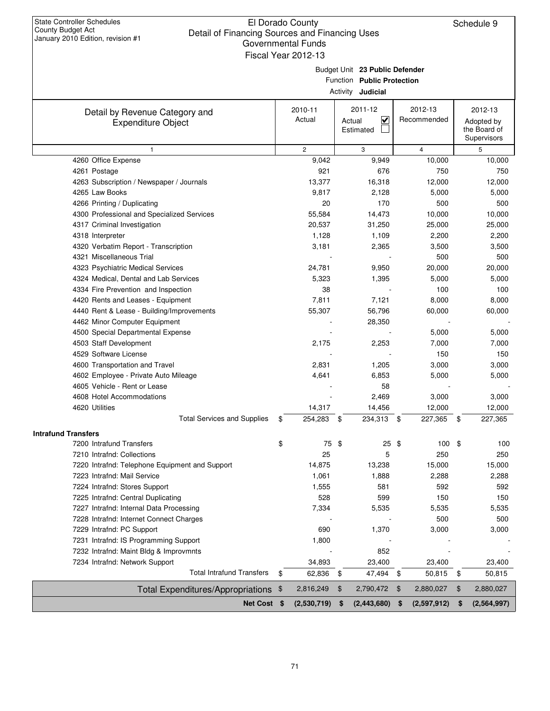|                                                             |    | uuvtiiliittiitai lulius<br>Fiscal Year 2012-13 |        |                                                                                          |                        |                                                      |
|-------------------------------------------------------------|----|------------------------------------------------|--------|------------------------------------------------------------------------------------------|------------------------|------------------------------------------------------|
|                                                             |    |                                                |        | Budget Unit 23 Public Defender<br>Function Public Protection<br>Activity <b>Judicial</b> |                        |                                                      |
| Detail by Revenue Category and<br><b>Expenditure Object</b> |    | 2010-11<br>Actual                              | Actual | 2011-12<br>✓<br>Estimated                                                                | 2012-13<br>Recommended | 2012-13<br>Adopted by<br>the Board of<br>Supervisors |
| 1                                                           |    | $\overline{c}$                                 |        | 3                                                                                        | $\overline{4}$         | 5                                                    |
| 4260 Office Expense                                         |    | 9,042                                          |        | 9,949                                                                                    | 10,000                 | 10,000                                               |
| 4261 Postage                                                |    | 921                                            |        | 676                                                                                      | 750                    | 750                                                  |
| 4263 Subscription / Newspaper / Journals                    |    | 13,377                                         |        | 16,318                                                                                   | 12,000                 | 12,000                                               |
| 4265 Law Books                                              |    | 9,817                                          |        | 2,128                                                                                    | 5,000                  | 5,000                                                |
| 4266 Printing / Duplicating                                 |    | 20                                             |        | 170                                                                                      | 500                    | 500                                                  |
| 4300 Professional and Specialized Services                  |    | 55,584                                         |        | 14,473                                                                                   | 10,000                 | 10,000                                               |
| 4317 Criminal Investigation                                 |    | 20,537                                         |        | 31,250                                                                                   | 25,000                 | 25,000                                               |
| 4318 Interpreter                                            |    | 1,128                                          |        | 1,109                                                                                    | 2,200                  | 2,200                                                |
| 4320 Verbatim Report - Transcription                        |    | 3,181                                          |        | 2,365                                                                                    | 3,500                  | 3,500                                                |
| 4321 Miscellaneous Trial                                    |    |                                                |        |                                                                                          | 500                    | 500                                                  |
| 4323 Psychiatric Medical Services                           |    | 24,781                                         |        | 9,950                                                                                    | 20,000                 | 20,000                                               |
| 4324 Medical, Dental and Lab Services                       |    | 5,323                                          |        | 1,395                                                                                    | 5,000                  | 5,000                                                |
| 4334 Fire Prevention and Inspection                         |    | 38                                             |        |                                                                                          | 100                    | 100                                                  |
| 4420 Rents and Leases - Equipment                           |    | 7,811                                          |        | 7,121                                                                                    | 8,000                  | 8,000                                                |
| 4440 Rent & Lease - Building/Improvements                   |    | 55,307                                         |        | 56,796                                                                                   | 60,000                 | 60,000                                               |
| 4462 Minor Computer Equipment                               |    |                                                |        | 28,350                                                                                   |                        |                                                      |
| 4500 Special Departmental Expense                           |    |                                                |        |                                                                                          | 5,000                  | 5,000                                                |
| 4503 Staff Development                                      |    | 2,175                                          |        | 2,253                                                                                    | 7,000                  | 7,000                                                |
| 4529 Software License                                       |    |                                                |        |                                                                                          | 150                    | 150                                                  |
| 4600 Transportation and Travel                              |    | 2,831                                          |        | 1,205                                                                                    | 3,000                  | 3,000                                                |
| 4602 Employee - Private Auto Mileage                        |    | 4,641                                          |        | 6,853                                                                                    | 5,000                  | 5,000                                                |
| 4605 Vehicle - Rent or Lease                                |    |                                                |        | 58                                                                                       |                        |                                                      |
| 4608 Hotel Accommodations                                   |    |                                                |        | 2,469                                                                                    | 3,000                  | 3,000                                                |
| 4620 Utilities                                              |    | 14,317                                         |        | 14,456                                                                                   | 12,000                 | 12,000                                               |
| <b>Total Services and Supplies</b>                          | \$ | 254,283                                        | \$     | 234,313 \$                                                                               | 227,365                | \$<br>227,365                                        |
| <b>Intrafund Transfers</b>                                  |    |                                                |        |                                                                                          |                        |                                                      |
| 7200 Intrafund Transfers                                    | \$ | 75 \$                                          |        | $25$ \$                                                                                  | 100                    | \$<br>100                                            |
| 7210 Intrafnd: Collections                                  |    | 25                                             |        | 5                                                                                        | 250                    | 250                                                  |
| 7220 Intrafnd: Telephone Equipment and Support              |    | 14,875                                         |        | 13,238                                                                                   | 15,000                 | 15,000                                               |
| 7223 Intrafnd: Mail Service                                 |    | 1,061                                          |        | 1,888                                                                                    | 2,288                  | 2,288                                                |
| 7224 Intrafnd: Stores Support                               |    | 1,555                                          |        | 581                                                                                      | 592                    | 592                                                  |
| 7225 Intrafnd: Central Duplicating                          |    | 528                                            |        | 599                                                                                      | 150                    | 150                                                  |
| 7227 Intrafnd: Internal Data Processing                     |    | 7,334                                          |        | 5,535                                                                                    | 5,535                  | 5,535                                                |
| 7228 Intrafnd: Internet Connect Charges                     |    |                                                |        |                                                                                          | 500                    | 500                                                  |
| 7229 Intrafnd: PC Support                                   |    | 690                                            |        | 1,370                                                                                    | 3,000                  | 3,000                                                |
| 7231 Intrafnd: IS Programming Support                       |    | 1,800                                          |        |                                                                                          |                        |                                                      |
| 7232 Intrafnd: Maint Bldg & Improvmnts                      |    |                                                |        | 852                                                                                      |                        |                                                      |
| 7234 Intrafnd: Network Support                              |    | 34,893                                         |        | 23,400                                                                                   | 23,400                 | 23,400                                               |
| <b>Total Intrafund Transfers</b>                            | S  | 62,836                                         | \$     | 47,494                                                                                   | \$<br>50,815           | \$<br>50,815                                         |
| Total Expenditures/Appropriations \$                        |    | 2,816,249                                      | \$     | 2,790,472                                                                                | \$<br>2,880,027        | \$<br>2,880,027                                      |
| Net Cost \$                                                 |    | (2,530,719)                                    | -\$    | (2,443,680)                                                                              | \$<br>(2,597,912)      | \$<br>(2,564,997)                                    |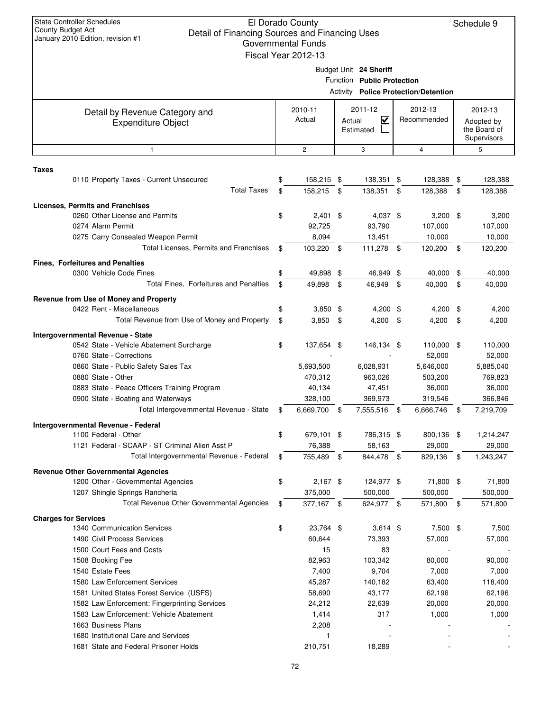|                                                                   | Governmental Funds     |                            |      |                                             |     |              |
|-------------------------------------------------------------------|------------------------|----------------------------|------|---------------------------------------------|-----|--------------|
|                                                                   | Fiscal Year 2012-13    |                            |      |                                             |     |              |
|                                                                   |                        | Budget Unit 24 Sheriff     |      |                                             |     |              |
|                                                                   |                        | Function Public Protection |      |                                             |     |              |
|                                                                   |                        |                            |      | <b>Activity Police Protection/Detention</b> |     |              |
|                                                                   | 2010-11                | 2011-12                    |      | 2012-13                                     |     | 2012-13      |
| Detail by Revenue Category and                                    | Actual                 | V<br>Actual                |      | Recommended                                 |     | Adopted by   |
| <b>Expenditure Object</b>                                         |                        | Estimated                  |      |                                             |     | the Board of |
|                                                                   |                        |                            |      |                                             |     | Supervisors  |
| $\mathbf{1}$                                                      | $\overline{c}$         | 3                          |      | $\overline{4}$                              |     | 5            |
| <b>Taxes</b>                                                      |                        |                            |      |                                             |     |              |
| 0110 Property Taxes - Current Unsecured                           | 158,215 \$             | 138,351 \$                 |      | 128,388                                     | -\$ | 128,388      |
| <b>Total Taxes</b>                                                | \$<br>158,215 \$       | 138,351                    | \$   | 128,388                                     | \$  | 128,388      |
| <b>Licenses, Permits and Franchises</b>                           |                        |                            |      |                                             |     |              |
| 0260 Other License and Permits                                    | \$<br>$2,401$ \$       | 4,037 \$                   |      | $3,200$ \$                                  |     | 3,200        |
| 0274 Alarm Permit                                                 | 92,725                 | 93,790                     |      | 107,000                                     |     | 107,000      |
| 0275 Carry Consealed Weapon Permit                                | 8,094                  | 13,451                     |      | 10,000                                      |     | 10,000       |
| Total Licenses, Permits and Franchises                            | \$<br>103,220 \$       | 111,278 \$                 |      | 120,200                                     | \$  | 120,200      |
|                                                                   |                        |                            |      |                                             |     |              |
| <b>Fines, Forfeitures and Penalties</b>                           |                        |                            |      |                                             |     |              |
| 0300 Vehicle Code Fines<br>Total Fines, Forfeitures and Penalties | 49,898 \$<br>49,898 \$ | 46,949 \$<br>46,949 \$     |      | 40,000 \$                                   |     | 40,000       |
|                                                                   | \$                     |                            |      | 40,000                                      | \$  | 40,000       |
| Revenue from Use of Money and Property                            |                        |                            |      |                                             |     |              |
| 0422 Rent - Miscellaneous                                         | \$<br>$3,850$ \$       | $4,200$ \$                 |      | $4,200$ \$                                  |     | 4,200        |
| Total Revenue from Use of Money and Property                      | \$<br>$3,850$ \$       | 4,200                      | - \$ | 4,200                                       | \$  | 4,200        |
| Intergovernmental Revenue - State                                 |                        |                            |      |                                             |     |              |
| 0542 State - Vehicle Abatement Surcharge                          | \$<br>137,654 \$       | 146,134 \$                 |      | 110,000 \$                                  |     | 110,000      |
| 0760 State - Corrections                                          |                        |                            |      | 52,000                                      |     | 52,000       |
| 0860 State - Public Safety Sales Tax                              | 5,693,500              | 6,028,931                  |      | 5,646,000                                   |     | 5,885,040    |
| 0880 State - Other                                                | 470,312                | 963,026                    |      | 503,200                                     |     | 769,823      |
| 0883 State - Peace Officers Training Program                      | 40,134                 | 47,451                     |      | 36,000                                      |     | 36,000       |
| 0900 State - Boating and Waterways                                | 328,100                | 369,973                    |      | 319,546                                     |     | 366,846      |
| Total Intergovernmental Revenue - State                           | \$<br>6,669,700 \$     | 7,555,516 \$               |      | 6,666,746                                   | -\$ | 7,219,709    |
| Intergovernmental Revenue - Federal                               |                        |                            |      |                                             |     |              |
| 1100 Federal - Other                                              | \$<br>679,101 \$       | 786,315 \$                 |      | 800,136 \$                                  |     | 1,214,247    |
| 1121 Federal - SCAAP - ST Criminal Alien Asst P                   | 76,388                 | 58,163                     |      | 29,000                                      |     | 29,000       |
| Total Intergovernmental Revenue - Federal                         | \$<br>755,489 \$       | 844,478 \$                 |      | 829,136                                     | \$  | 1,243,247    |
| <b>Revenue Other Governmental Agencies</b>                        |                        |                            |      |                                             |     |              |
| 1200 Other - Governmental Agencies                                | \$<br>$2,167$ \$       | 124,977 \$                 |      | 71,800 \$                                   |     | 71,800       |
| 1207 Shingle Springs Rancheria                                    | 375,000                | 500,000                    |      | 500,000                                     |     | 500,000      |
| Total Revenue Other Governmental Agencies                         | \$<br>377,167 \$       | 624,977 \$                 |      | 571,800                                     | \$  | 571,800      |
| <b>Charges for Services</b>                                       |                        |                            |      |                                             |     |              |
| 1340 Communication Services                                       | \$<br>23,764 \$        | $3,614$ \$                 |      | 7,500 \$                                    |     | 7,500        |
| 1490 Civil Process Services                                       | 60,644                 | 73,393                     |      | 57,000                                      |     | 57,000       |
| 1500 Court Fees and Costs                                         | 15                     | 83                         |      |                                             |     |              |
| 1508 Booking Fee                                                  | 82,963                 | 103,342                    |      | 80,000                                      |     | 90,000       |
| 1540 Estate Fees                                                  | 7,400                  | 9,704                      |      | 7,000                                       |     | 7,000        |
| 1580 Law Enforcement Services                                     | 45,287                 | 140,182                    |      | 63,400                                      |     | 118,400      |
| 1581 United States Forest Service (USFS)                          | 58,690                 | 43,177                     |      | 62,196                                      |     | 62,196       |
| 1582 Law Enforcement: Fingerprinting Services                     | 24,212                 | 22,639                     |      | 20,000                                      |     | 20,000       |
| 1583 Law Enforcement: Vehicle Abatement                           | 1,414                  | 317                        |      | 1,000                                       |     | 1,000        |
| 1663 Business Plans                                               | 2,208                  |                            |      |                                             |     |              |
| 1680 Institutional Care and Services                              | 1                      |                            |      |                                             |     |              |
| 1681 State and Federal Prisoner Holds                             | 210,751                | 18,289                     |      |                                             |     |              |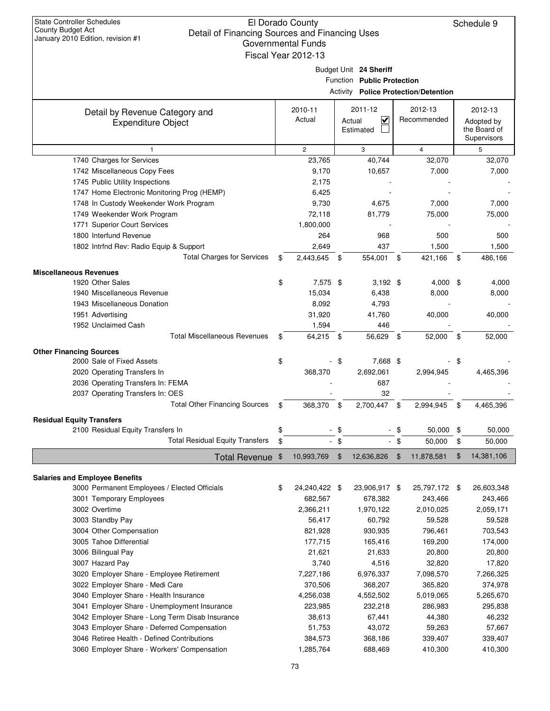|                                                                                       | Governmental Funds  |           |                                   |     |                                             |      |              |
|---------------------------------------------------------------------------------------|---------------------|-----------|-----------------------------------|-----|---------------------------------------------|------|--------------|
|                                                                                       | Fiscal Year 2012-13 |           |                                   |     |                                             |      |              |
|                                                                                       |                     |           | Budget Unit 24 Sheriff            |     |                                             |      |              |
|                                                                                       |                     |           | Function Public Protection        |     |                                             |      |              |
|                                                                                       |                     |           |                                   |     | <b>Activity Police Protection/Detention</b> |      |              |
|                                                                                       |                     |           |                                   |     |                                             |      |              |
| Detail by Revenue Category and                                                        | 2010-11             |           | 2011-12                           |     | 2012-13                                     |      | 2012-13      |
| <b>Expenditure Object</b>                                                             | Actual              |           | $\overline{\mathbf{v}}$<br>Actual |     | Recommended                                 |      | Adopted by   |
|                                                                                       |                     | Estimated |                                   |     |                                             |      | the Board of |
|                                                                                       |                     |           |                                   |     |                                             |      | Supervisors  |
| $\mathbf{1}$                                                                          | $\overline{2}$      |           | 3                                 |     | $\overline{4}$                              |      | 5            |
| 1740 Charges for Services                                                             | 23,765              |           | 40,744                            |     | 32,070                                      |      | 32,070       |
| 1742 Miscellaneous Copy Fees                                                          | 9,170               |           | 10,657                            |     | 7,000                                       |      | 7,000        |
| 1745 Public Utility Inspections                                                       | 2,175               |           |                                   |     |                                             |      |              |
| 1747 Home Electronic Monitoring Prog (HEMP)                                           | 6,425               |           |                                   |     |                                             |      |              |
| 1748 In Custody Weekender Work Program                                                | 9,730               |           | 4,675                             |     | 7,000                                       |      | 7,000        |
| 1749 Weekender Work Program                                                           | 72,118              |           | 81,779                            |     | 75,000                                      |      | 75,000       |
| 1771 Superior Court Services                                                          | 1,800,000           |           |                                   |     |                                             |      |              |
| 1800 Interfund Revenue                                                                | 264                 |           | 968                               |     | 500                                         |      | 500          |
| 1802 Intrfnd Rev: Radio Equip & Support                                               | 2,649               |           | 437                               |     | 1,500                                       |      | 1,500        |
| <b>Total Charges for Services</b>                                                     | \$<br>2,443,645     | \$        | 554,001                           | \$  | 421,166                                     | - \$ | 486,166      |
| <b>Miscellaneous Revenues</b>                                                         |                     |           |                                   |     |                                             |      |              |
| 1920 Other Sales                                                                      | \$<br>7,575 \$      |           | $3,192$ \$                        |     | $4,000$ \$                                  |      | 4,000        |
| 1940 Miscellaneous Revenue                                                            | 15,034              |           | 6,438                             |     | 8,000                                       |      | 8,000        |
| 1943 Miscellaneous Donation                                                           | 8,092               |           | 4,793                             |     |                                             |      |              |
| 1951 Advertising                                                                      | 31,920              |           | 41,760                            |     | 40,000                                      |      | 40,000       |
| 1952 Unclaimed Cash                                                                   | 1,594               |           | 446                               |     |                                             |      |              |
| <b>Total Miscellaneous Revenues</b>                                                   | \$<br>64,215 \$     |           |                                   |     |                                             |      |              |
|                                                                                       |                     |           | 56,629 \$                         |     | 52,000                                      | -\$  | 52,000       |
| <b>Other Financing Sources</b>                                                        |                     |           |                                   |     |                                             |      |              |
| 2000 Sale of Fixed Assets                                                             | \$                  | \$        | 7,668 \$                          |     |                                             | \$   |              |
| 2020 Operating Transfers In                                                           | 368,370             |           | 2,692,061                         |     | 2,994,945                                   |      | 4,465,396    |
| 2036 Operating Transfers In: FEMA                                                     |                     |           | 687                               |     |                                             |      |              |
| 2037 Operating Transfers In: OES                                                      |                     |           | 32                                |     |                                             |      |              |
| <b>Total Other Financing Sources</b>                                                  | \$<br>368,370       | \$        | 2,700,447                         | \$  | 2,994,945                                   | \$   | 4,465,396    |
| <b>Residual Equity Transfers</b>                                                      |                     |           |                                   |     |                                             |      |              |
| 2100 Residual Equity Transfers In                                                     | \$                  | \$        |                                   | \$  | 50,000                                      | \$   | 50,000       |
| <b>Total Residual Equity Transfers</b>                                                | \$<br>$\sim$        | \$        | $\sim$                            | -\$ | 50,000                                      | \$   | 50,000       |
|                                                                                       |                     |           |                                   |     |                                             |      |              |
| Total Revenue \$                                                                      | 10,993,769          | \$        | 12,636,826                        | \$  | 11,878,581                                  | \$   | 14,381,106   |
|                                                                                       |                     |           |                                   |     |                                             |      |              |
| <b>Salaries and Employee Benefits</b><br>3000 Permanent Employees / Elected Officials | \$<br>24,240,422 \$ |           | 23,906,917 \$                     |     | 25,797,172 \$                               |      | 26,603,348   |
| 3001 Temporary Employees                                                              | 682,567             |           | 678,382                           |     | 243,466                                     |      | 243,466      |
| 3002 Overtime                                                                         | 2,366,211           |           | 1,970,122                         |     | 2,010,025                                   |      | 2,059,171    |
|                                                                                       | 56,417              |           |                                   |     |                                             |      |              |
| 3003 Standby Pay                                                                      |                     |           | 60,792                            |     | 59,528                                      |      | 59,528       |
| 3004 Other Compensation                                                               | 821,928             |           | 930,935                           |     | 796,461                                     |      | 703,543      |
| 3005 Tahoe Differential                                                               | 177,715             |           | 165,416                           |     | 169,200                                     |      | 174,000      |
| 3006 Bilingual Pay                                                                    | 21,621              |           | 21,633                            |     | 20,800                                      |      | 20,800       |
| 3007 Hazard Pay                                                                       | 3,740               |           | 4,516                             |     | 32,820                                      |      | 17,820       |
| 3020 Employer Share - Employee Retirement                                             | 7,227,186           |           | 6,976,337                         |     | 7,098,570                                   |      | 7,266,325    |
| 3022 Employer Share - Medi Care                                                       | 370,506             |           | 368,207                           |     | 365,820                                     |      | 374,978      |
| 3040 Employer Share - Health Insurance                                                | 4,256,038           |           | 4,552,502                         |     | 5,019,065                                   |      | 5,265,670    |
| 3041 Employer Share - Unemployment Insurance                                          | 223,985             |           | 232,218                           |     | 286,983                                     |      | 295,838      |
| 3042 Employer Share - Long Term Disab Insurance                                       | 38,613              |           | 67,441                            |     | 44,380                                      |      | 46,232       |
| 3043 Employer Share - Deferred Compensation                                           | 51,753              |           | 43,072                            |     | 59,263                                      |      | 57,667       |
| 3046 Retiree Health - Defined Contributions                                           | 384,573             |           | 368,186                           |     | 339,407                                     |      | 339,407      |
| 3060 Employer Share - Workers' Compensation                                           | 1,285,764           |           | 688,469                           |     | 410,300                                     |      | 410,300      |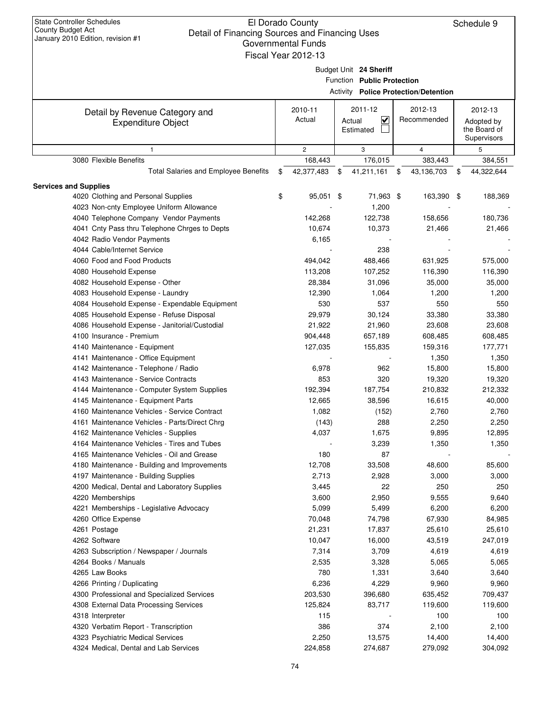| January 2010 Edition, revision #1<br>Governmental Funds<br>Fiscal Year 2012-13 |    |                |    |                                   |    |                                             |    |                             |  |  |  |
|--------------------------------------------------------------------------------|----|----------------|----|-----------------------------------|----|---------------------------------------------|----|-----------------------------|--|--|--|
|                                                                                |    |                |    | Budget Unit 24 Sheriff            |    |                                             |    |                             |  |  |  |
|                                                                                |    |                |    | Function Public Protection        |    |                                             |    |                             |  |  |  |
|                                                                                |    |                |    |                                   |    | <b>Activity Police Protection/Detention</b> |    |                             |  |  |  |
| Detail by Revenue Category and                                                 |    | 2010-11        |    | 2011-12                           |    | 2012-13                                     |    | 2012-13                     |  |  |  |
| <b>Expenditure Object</b>                                                      |    | Actual         |    | $\overline{\mathbf{v}}$<br>Actual |    | Recommended                                 |    | Adopted by                  |  |  |  |
|                                                                                |    |                |    | Estimated                         |    |                                             |    | the Board of<br>Supervisors |  |  |  |
| $\mathbf{1}$                                                                   |    | $\overline{2}$ |    | 3                                 |    | $\overline{4}$                              |    | 5                           |  |  |  |
| 3080 Flexible Benefits                                                         |    | 168,443        |    | 176,015                           |    | 383,443                                     |    | 384,551                     |  |  |  |
| <b>Total Salaries and Employee Benefits</b>                                    | \$ | 42,377,483     | \$ | 41,211,161                        | \$ | 43,136,703                                  | \$ | 44,322,644                  |  |  |  |
|                                                                                |    |                |    |                                   |    |                                             |    |                             |  |  |  |
| <b>Services and Supplies</b><br>4020 Clothing and Personal Supplies            | \$ | 95,051 \$      |    | 71,963 \$                         |    | 163,390 \$                                  |    | 188,369                     |  |  |  |
| 4023 Non-cnty Employee Uniform Allowance                                       |    |                |    | 1,200                             |    |                                             |    |                             |  |  |  |
| 4040 Telephone Company Vendor Payments                                         |    | 142,268        |    | 122,738                           |    | 158,656                                     |    | 180,736                     |  |  |  |
| 4041 Cnty Pass thru Telephone Chrges to Depts                                  |    | 10,674         |    | 10,373                            |    | 21,466                                      |    | 21,466                      |  |  |  |
| 4042 Radio Vendor Payments                                                     |    | 6,165          |    |                                   |    |                                             |    |                             |  |  |  |
| 4044 Cable/Internet Service                                                    |    |                |    | 238                               |    |                                             |    |                             |  |  |  |
| 4060 Food and Food Products                                                    |    | 494,042        |    | 488,466                           |    | 631,925                                     |    | 575,000                     |  |  |  |
| 4080 Household Expense                                                         |    | 113,208        |    | 107,252                           |    | 116,390                                     |    | 116,390                     |  |  |  |
| 4082 Household Expense - Other                                                 |    | 28,384         |    | 31,096                            |    | 35,000                                      |    | 35,000                      |  |  |  |
| 4083 Household Expense - Laundry                                               |    | 12,390         |    | 1,064                             |    | 1,200                                       |    | 1,200                       |  |  |  |
| 4084 Household Expense - Expendable Equipment                                  |    | 530            |    | 537                               |    | 550                                         |    | 550                         |  |  |  |
| 4085 Household Expense - Refuse Disposal                                       |    | 29,979         |    | 30,124                            |    | 33,380                                      |    | 33,380                      |  |  |  |
| 4086 Household Expense - Janitorial/Custodial                                  |    | 21,922         |    | 21,960                            |    | 23,608                                      |    | 23,608                      |  |  |  |
| 4100 Insurance - Premium                                                       |    | 904,448        |    | 657,189                           |    | 608,485                                     |    | 608,485                     |  |  |  |
| 4140 Maintenance - Equipment                                                   |    | 127,035        |    | 155,835                           |    | 159,316                                     |    | 177,771                     |  |  |  |
| 4141 Maintenance - Office Equipment                                            |    |                |    |                                   |    | 1,350                                       |    | 1,350                       |  |  |  |
| 4142 Maintenance - Telephone / Radio                                           |    | 6,978          |    | 962                               |    | 15,800                                      |    | 15,800                      |  |  |  |
| 4143 Maintenance - Service Contracts                                           |    | 853            |    | 320                               |    | 19,320                                      |    | 19,320                      |  |  |  |
| 4144 Maintenance - Computer System Supplies                                    |    | 192,394        |    | 187,754                           |    | 210,832                                     |    | 212,332                     |  |  |  |
| 4145 Maintenance - Equipment Parts                                             |    | 12,665         |    | 38,596                            |    | 16,615                                      |    | 40,000                      |  |  |  |
| 4160 Maintenance Vehicles - Service Contract                                   |    | 1,082          |    | (152)                             |    | 2,760                                       |    | 2,760                       |  |  |  |
| 4161 Maintenance Vehicles - Parts/Direct Chrg                                  |    | (143)          |    | 288                               |    | 2,250                                       |    | 2,250                       |  |  |  |
| 4162 Maintenance Vehicles - Supplies                                           |    | 4,037          |    | 1,675                             |    | 9,895                                       |    | 12,895                      |  |  |  |
| 4164 Maintenance Vehicles - Tires and Tubes                                    |    |                |    | 3,239                             |    | 1,350                                       |    | 1,350                       |  |  |  |
| 4165 Maintenance Vehicles - Oil and Grease                                     |    | 180            |    | 87                                |    |                                             |    |                             |  |  |  |
| 4180 Maintenance - Building and Improvements                                   |    | 12,708         |    | 33,508                            |    | 48,600                                      |    | 85,600                      |  |  |  |
| 4197 Maintenance - Building Supplies                                           |    | 2,713          |    | 2,928                             |    | 3,000                                       |    | 3,000                       |  |  |  |
| 4200 Medical, Dental and Laboratory Supplies                                   |    | 3,445          |    | 22                                |    | 250                                         |    | 250                         |  |  |  |
| 4220 Memberships                                                               |    | 3,600          |    | 2,950                             |    | 9,555                                       |    | 9,640                       |  |  |  |
| 4221 Memberships - Legislative Advocacy                                        |    | 5,099          |    | 5,499                             |    | 6,200                                       |    | 6,200                       |  |  |  |
| 4260 Office Expense                                                            |    | 70,048         |    | 74,798                            |    | 67,930                                      |    | 84,985                      |  |  |  |
| 4261 Postage                                                                   |    | 21,231         |    | 17,837                            |    | 25,610                                      |    | 25,610                      |  |  |  |
| 4262 Software                                                                  |    | 10,047         |    | 16,000                            |    | 43,519                                      |    | 247,019                     |  |  |  |
| 4263 Subscription / Newspaper / Journals                                       |    | 7,314          |    | 3,709                             |    | 4,619                                       |    | 4,619                       |  |  |  |
| 4264 Books / Manuals                                                           |    | 2,535          |    | 3,328                             |    | 5,065                                       |    | 5,065                       |  |  |  |
| 4265 Law Books                                                                 |    | 780            |    | 1,331                             |    | 3,640                                       |    | 3,640                       |  |  |  |
| 4266 Printing / Duplicating                                                    |    | 6,236          |    | 4,229                             |    | 9,960                                       |    | 9,960                       |  |  |  |
| 4300 Professional and Specialized Services                                     |    | 203,530        |    | 396,680<br>83,717                 |    | 635,452                                     |    | 709,437                     |  |  |  |
| 4308 External Data Processing Services<br>4318 Interpreter                     |    | 125,824<br>115 |    |                                   |    | 119,600<br>100                              |    | 119,600<br>100              |  |  |  |
| 4320 Verbatim Report - Transcription                                           |    | 386            |    | 374                               |    | 2,100                                       |    | 2,100                       |  |  |  |
| 4323 Psychiatric Medical Services                                              |    | 2,250          |    | 13,575                            |    | 14,400                                      |    | 14,400                      |  |  |  |
| 4324 Medical, Dental and Lab Services                                          |    | 224,858        |    | 274,687                           |    | 279,092                                     |    | 304,092                     |  |  |  |
|                                                                                |    |                |    |                                   |    |                                             |    |                             |  |  |  |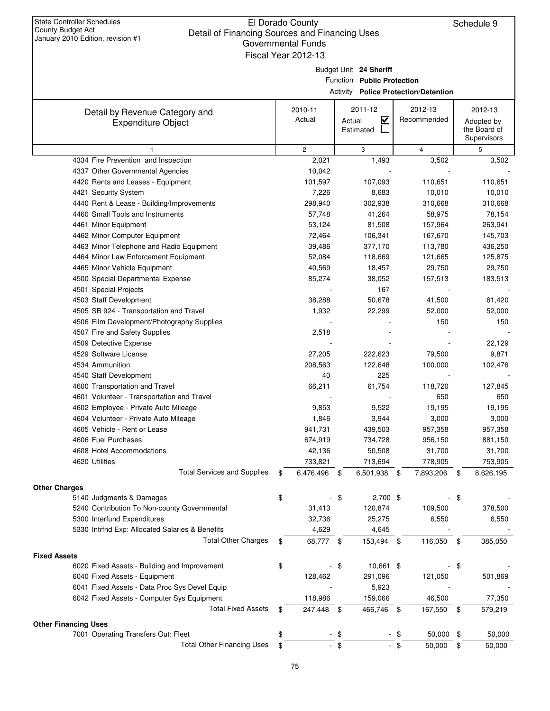Schedule 9

Budget Unit **24 Sheriff**

Function **Public Protection**

Activity **Police Protection/Detention**

| Detail by Revenue Category and                                     | 2010-11          |              | 2011-12                                        |              | 2012-13     |     | 2012-13                                   |
|--------------------------------------------------------------------|------------------|--------------|------------------------------------------------|--------------|-------------|-----|-------------------------------------------|
| <b>Expenditure Object</b>                                          | Actual           |              | $\overline{\mathbf{v}}$<br>Actual<br>Estimated |              | Recommended |     | Adopted by<br>the Board of<br>Supervisors |
| 1                                                                  | $\mathbf{2}$     |              | 3                                              |              | 4           |     | 5                                         |
| 4334 Fire Prevention and Inspection                                | 2,021            |              | 1,493                                          |              | 3,502       |     | 3,502                                     |
| 4337 Other Governmental Agencies                                   | 10,042           |              |                                                |              |             |     |                                           |
| 4420 Rents and Leases - Equipment                                  | 101,597          |              | 107,093                                        |              | 110,651     |     | 110,651                                   |
| 4421 Security System                                               | 7,226            |              | 8,683                                          |              | 10,010      |     | 10,010                                    |
| 4440 Rent & Lease - Building/Improvements                          | 298,940          |              | 302,938                                        |              | 310,668     |     | 310,668                                   |
| 4460 Small Tools and Instruments                                   | 57,748           |              | 41,264                                         |              | 58,975      |     | 78,154                                    |
| 4461 Minor Equipment                                               | 53,124           |              | 81,508                                         |              | 157,964     |     | 263,941                                   |
| 4462 Minor Computer Equipment                                      | 72,464           |              | 106,341                                        |              | 167,670     |     | 145,703                                   |
| 4463 Minor Telephone and Radio Equipment                           | 39,486           |              | 377,170                                        |              | 113,780     |     | 436,250                                   |
| 4464 Minor Law Enforcement Equipment                               | 52,084           |              | 118,669                                        |              | 121,665     |     | 125,875                                   |
| 4465 Minor Vehicle Equipment                                       | 40,569           |              | 18,457                                         |              | 29,750      |     | 29,750                                    |
| 4500 Special Departmental Expense                                  | 85,274           |              | 38,052                                         |              | 157,513     |     | 183,513                                   |
| 4501 Special Projects                                              |                  |              | 167                                            |              |             |     |                                           |
| 4503 Staff Development                                             | 38,288           |              | 50,678                                         |              | 41,500      |     | 61,420                                    |
| 4505 SB 924 - Transportation and Travel                            | 1,932            |              | 22,299                                         |              | 52,000      |     | 52,000                                    |
| 4506 Film Development/Photography Supplies                         |                  |              |                                                |              | 150         |     | 150                                       |
| 4507 Fire and Safety Supplies                                      | 2,518            |              |                                                |              |             |     |                                           |
| 4509 Detective Expense                                             |                  |              |                                                |              |             |     | 22,129                                    |
| 4529 Software License                                              | 27,205           |              | 222,623                                        |              | 79,500      |     | 9,871                                     |
| 4534 Ammunition                                                    | 208,563          |              | 122,648                                        |              | 100,000     |     | 102,476                                   |
| 4540 Staff Development                                             | 40               |              | 225                                            |              |             |     |                                           |
| 4600 Transportation and Travel                                     | 66,211           |              | 61,754                                         |              | 118,720     |     | 127,845                                   |
| 4601 Volunteer - Transportation and Travel                         |                  |              |                                                |              | 650         |     | 650                                       |
| 4602 Employee - Private Auto Mileage                               | 9,853            |              | 9,522                                          |              | 19,195      |     | 19,195                                    |
| 4604 Volunteer - Private Auto Mileage                              | 1,846            |              | 3,944                                          |              | 3,000       |     | 3,000                                     |
| 4605 Vehicle - Rent or Lease                                       | 941,731          |              | 439,503                                        |              | 957,358     |     | 957,358                                   |
| 4606 Fuel Purchases                                                | 674,919          |              | 734,728                                        |              | 956,150     |     | 881,150                                   |
| 4608 Hotel Accommodations                                          | 42,136           |              | 50,508                                         |              | 31,700      |     | 31,700                                    |
| 4620 Utilities                                                     | 733,821          |              | 713,694                                        |              | 778,905     |     | 753,905                                   |
| <b>Total Services and Supplies</b>                                 | \$<br>6,476,496  | \$           | 6,501,938                                      | -\$          | 7,893,206   | \$  | 8,626,195                                 |
| <b>Other Charges</b>                                               |                  |              |                                                |              |             |     |                                           |
| 5140 Judgments & Damages                                           |                  |              | 2,700 \$                                       |              |             |     |                                           |
| 5240 Contribution To Non-county Governmental                       | 31,413           |              | 120,874                                        |              | 109,500     |     | 378,500                                   |
| 5300 Interfund Expenditures                                        | 32,736           |              | 25,275                                         |              | 6,550       |     | 6,550                                     |
| 5330 Intrfnd Exp: Allocated Salaries & Benefits                    | 4,629            |              | 4,645                                          |              |             |     |                                           |
| <b>Total Other Charges</b>                                         | \$<br>68,777 \$  |              | 153,494 \$                                     |              | 116,050     | -\$ | 385,050                                   |
| <b>Fixed Assets</b>                                                |                  |              |                                                |              |             |     |                                           |
| 6020 Fixed Assets - Building and Improvement                       | \$               | - \$         | 10,661 \$                                      |              |             | \$  |                                           |
| 6040 Fixed Assets - Equipment                                      | 128,462          |              | 291,096                                        |              | 121,050     |     | 501,869                                   |
| 6041 Fixed Assets - Data Proc Sys Devel Equip                      |                  |              | 5,923                                          |              |             |     |                                           |
| 6042 Fixed Assets - Computer Sys Equipment                         | 118,986          |              | 159,066                                        |              | 46,500      |     | 77,350                                    |
| <b>Total Fixed Assets</b>                                          | \$<br>247,448 \$ |              | 466,746 \$                                     |              | 167,550 \$  |     | 579,219                                   |
|                                                                    |                  |              |                                                |              |             |     |                                           |
| <b>Other Financing Uses</b><br>7001 Operating Transfers Out: Fleet |                  |              |                                                |              | 50,000      | \$  | 50,000                                    |
| <b>Total Other Financing Uses</b>                                  | \$               | - \$<br>- \$ |                                                | - \$<br>- \$ |             |     |                                           |
|                                                                    |                  |              |                                                |              | 50,000      | \$  | 50,000                                    |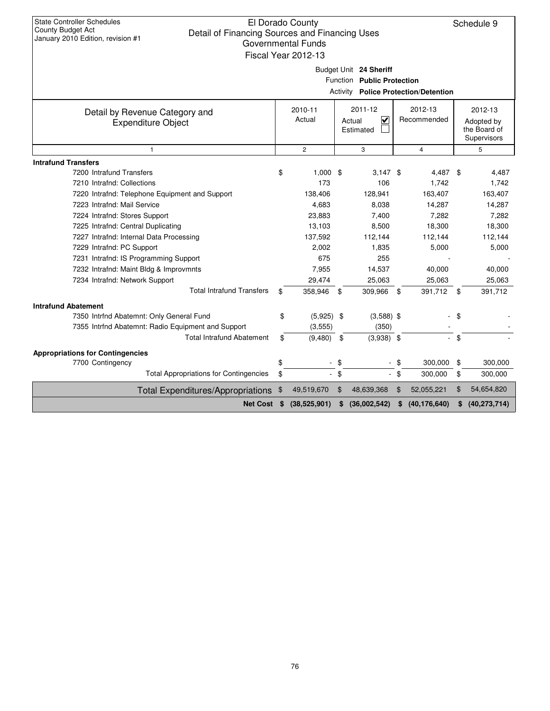|                                                                                                                                                                                                                                                                                                                                                                                                                                                                               |          | Fiscal Year 2012-13                                                                                                |                |                                                                                                                   |                |                                                                                                              |            |                                                                                                           |
|-------------------------------------------------------------------------------------------------------------------------------------------------------------------------------------------------------------------------------------------------------------------------------------------------------------------------------------------------------------------------------------------------------------------------------------------------------------------------------|----------|--------------------------------------------------------------------------------------------------------------------|----------------|-------------------------------------------------------------------------------------------------------------------|----------------|--------------------------------------------------------------------------------------------------------------|------------|-----------------------------------------------------------------------------------------------------------|
|                                                                                                                                                                                                                                                                                                                                                                                                                                                                               |          |                                                                                                                    |                | Budget Unit 24 Sheriff<br>Function Public Protection                                                              |                | <b>Activity Police Protection/Detention</b>                                                                  |            |                                                                                                           |
| Detail by Revenue Category and<br><b>Expenditure Object</b>                                                                                                                                                                                                                                                                                                                                                                                                                   |          | 2010-11<br>Actual                                                                                                  |                | 2011-12<br>V<br>Actual<br>Estimated                                                                               |                | 2012-13<br>Recommended                                                                                       |            | 2012-13<br>Adopted by<br>the Board of<br>Supervisors                                                      |
| $\mathbf{1}$                                                                                                                                                                                                                                                                                                                                                                                                                                                                  |          | $\overline{c}$                                                                                                     |                | 3                                                                                                                 |                | $\overline{4}$                                                                                               |            | 5                                                                                                         |
| <b>Intrafund Transfers</b><br>7200 Intrafund Transfers<br>7210 Intrafnd: Collections<br>7220 Intrafnd: Telephone Equipment and Support<br>7223 Intrafnd: Mail Service<br>7224 Intrafnd: Stores Support<br>7225 Intrafnd: Central Duplicating<br>7227 Intrafnd: Internal Data Processing<br>7229 Intrafnd: PC Support<br>7231 Intrafnd: IS Programming Support<br>7232 Intrafnd: Maint Bldg & Improvmnts<br>7234 Intrafnd: Network Support<br><b>Total Intrafund Transfers</b> | \$<br>\$ | $1,000$ \$<br>173<br>138,406<br>4,683<br>23,883<br>13,103<br>137,592<br>2,002<br>675<br>7,955<br>29,474<br>358,946 | \$             | $3,147$ \$<br>106<br>128,941<br>8,038<br>7,400<br>8,500<br>112,144<br>1,835<br>255<br>14,537<br>25,063<br>309,966 | \$             | 4,487 \$<br>1,742<br>163,407<br>14,287<br>7,282<br>18,300<br>112,144<br>5,000<br>40,000<br>25,063<br>391,712 | \$         | 4,487<br>1,742<br>163,407<br>14,287<br>7,282<br>18,300<br>112,144<br>5,000<br>40,000<br>25,063<br>391,712 |
| <b>Intrafund Abatement</b><br>7350 Intrfnd Abatemnt: Only General Fund<br>7355 Intrfnd Abatemnt: Radio Equipment and Support<br><b>Total Intrafund Abatement</b>                                                                                                                                                                                                                                                                                                              | \$<br>\$ | $(5,925)$ \$<br>(3, 555)<br>(9,480)                                                                                | \$             | $(3,588)$ \$<br>(350)<br>$(3,938)$ \$                                                                             |                |                                                                                                              | \$<br>- \$ |                                                                                                           |
| <b>Appropriations for Contingencies</b><br>7700 Contingency<br><b>Total Appropriations for Contingencies</b>                                                                                                                                                                                                                                                                                                                                                                  | \$<br>\$ | ۰.                                                                                                                 | \$<br>$-$ \$   |                                                                                                                   | - \$<br>$-$ \$ | 300,000<br>300,000                                                                                           | \$<br>\$   | 300,000<br>300,000                                                                                        |
| <b>Total Expenditures/Appropriations</b>                                                                                                                                                                                                                                                                                                                                                                                                                                      | \$       | 49,519,670                                                                                                         | $\mathfrak{L}$ | 48,639,368                                                                                                        | $\mathfrak{L}$ | 52,055,221                                                                                                   | \$         | 54,654,820                                                                                                |
| <b>Net Cost</b>                                                                                                                                                                                                                                                                                                                                                                                                                                                               | \$       | (38, 525, 901)                                                                                                     | \$             | (36,002,542)                                                                                                      | \$             | (40, 176, 640)                                                                                               | \$         | (40, 273, 714)                                                                                            |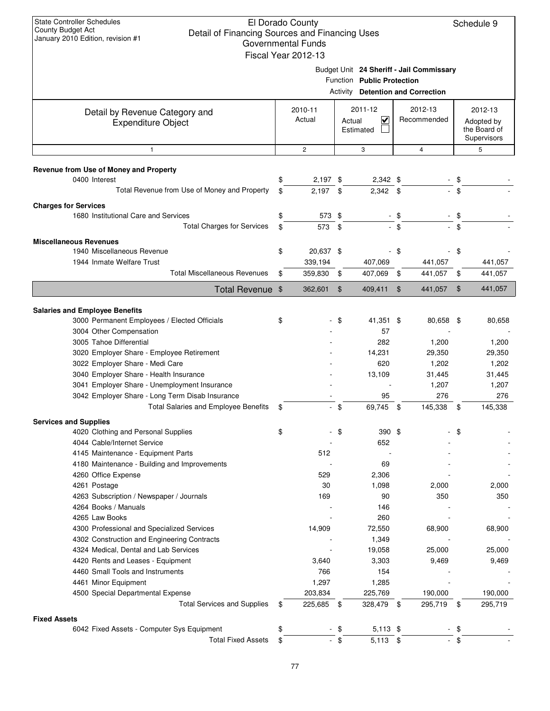|                                                                       | Governmental Funds  |                |                                          |                |                                          |        |                                                      |
|-----------------------------------------------------------------------|---------------------|----------------|------------------------------------------|----------------|------------------------------------------|--------|------------------------------------------------------|
|                                                                       | Fiscal Year 2012-13 |                | Function Public Protection               |                | Budget Unit 24 Sheriff - Jail Commissary |        |                                                      |
|                                                                       |                     |                | <b>Activity Detention and Correction</b> |                |                                          |        |                                                      |
| Detail by Revenue Category and<br><b>Expenditure Object</b>           | 2010-11<br>Actual   | Actual         | 2011-12<br>⊽<br>Estimated                |                | 2012-13<br>Recommended                   |        | 2012-13<br>Adopted by<br>the Board of<br>Supervisors |
| 1                                                                     | $\overline{c}$      |                | 3                                        |                | $\overline{4}$                           |        | 5                                                    |
| Revenue from Use of Money and Property                                |                     |                |                                          |                |                                          |        |                                                      |
| 0400 Interest                                                         | \$<br>$2,197$ \$    |                | $2,342$ \$                               |                |                                          | \$     |                                                      |
| Total Revenue from Use of Money and Property                          | \$<br>$2,197$ \$    |                | $2,342$ \$                               |                |                                          | \$     |                                                      |
| <b>Charges for Services</b>                                           |                     |                |                                          |                |                                          |        |                                                      |
| 1680 Institutional Care and Services                                  | \$<br>573 \$        |                |                                          | - \$           |                                          | \$     |                                                      |
| <b>Total Charges for Services</b>                                     | \$<br>573 \$        |                |                                          | $-$ \$         |                                          | - \$   |                                                      |
| <b>Miscellaneous Revenues</b>                                         |                     |                |                                          |                |                                          |        |                                                      |
| 1940 Miscellaneous Revenue                                            | \$<br>20,637 \$     |                |                                          | - \$           |                                          | - \$   |                                                      |
| 1944 Inmate Welfare Trust                                             | 339,194             |                | 407,069                                  |                | 441,057                                  |        | 441,057                                              |
| <b>Total Miscellaneous Revenues</b>                                   | \$<br>359,830 \$    |                | 407,069                                  | \$             | 441,057                                  | \$     | 441,057                                              |
| Total Revenue \$                                                      | 362,601             | $\mathfrak{F}$ | 409,411                                  | $\mathfrak{F}$ | 441,057                                  | \$     | 441,057                                              |
|                                                                       |                     |                |                                          |                |                                          |        |                                                      |
| <b>Salaries and Employee Benefits</b>                                 |                     |                |                                          |                |                                          |        |                                                      |
| 3000 Permanent Employees / Elected Officials                          | \$                  | - \$           | 41,351 \$                                |                | 80,658 \$                                |        | 80,658                                               |
| 3004 Other Compensation                                               |                     |                | 57                                       |                |                                          |        |                                                      |
| 3005 Tahoe Differential                                               |                     |                | 282                                      |                | 1,200                                    |        | 1,200                                                |
| 3020 Employer Share - Employee Retirement                             |                     |                | 14,231                                   |                | 29,350                                   |        | 29,350                                               |
| 3022 Employer Share - Medi Care                                       |                     |                | 620                                      |                | 1,202                                    |        | 1,202                                                |
| 3040 Employer Share - Health Insurance                                |                     |                | 13,109                                   |                | 31,445                                   |        | 31,445                                               |
| 3041 Employer Share - Unemployment Insurance                          |                     |                |                                          |                | 1,207                                    |        | 1,207                                                |
| 3042 Employer Share - Long Term Disab Insurance                       |                     |                | 95                                       |                | 276                                      |        | 276                                                  |
| Total Salaries and Employee Benefits                                  | \$                  | $-$ \$         | 69,745 \$                                |                | 145,338                                  | \$     | 145,338                                              |
| <b>Services and Supplies</b>                                          |                     |                |                                          |                |                                          |        |                                                      |
| 4020 Clothing and Personal Supplies                                   | \$                  | \$             | $390*$                                   |                |                                          |        |                                                      |
| 4044 Cable/Internet Service                                           |                     |                | 652                                      |                |                                          |        |                                                      |
| 4145 Maintenance - Equipment Parts                                    | 512                 |                |                                          |                |                                          |        |                                                      |
| 4180 Maintenance - Building and Improvements                          |                     |                | 69                                       |                |                                          |        |                                                      |
| 4260 Office Expense                                                   | 529                 |                | 2,306                                    |                |                                          |        |                                                      |
| 4261 Postage                                                          | 30                  |                | 1,098                                    |                | 2,000                                    |        | 2,000                                                |
| 4263 Subscription / Newspaper / Journals                              | 169                 |                | 90                                       |                | 350                                      |        | 350                                                  |
| 4264 Books / Manuals                                                  |                     |                | 146                                      |                |                                          |        |                                                      |
| 4265 Law Books                                                        |                     |                | 260                                      |                |                                          |        |                                                      |
| 4300 Professional and Specialized Services                            | 14,909              |                | 72,550                                   |                | 68,900                                   |        | 68,900                                               |
| 4302 Construction and Engineering Contracts                           |                     |                | 1,349                                    |                |                                          |        |                                                      |
| 4324 Medical, Dental and Lab Services                                 |                     |                | 19,058                                   |                | 25,000                                   |        | 25,000                                               |
| 4420 Rents and Leases - Equipment<br>4460 Small Tools and Instruments | 3,640<br>766        |                | 3,303<br>154                             |                | 9,469                                    |        | 9,469                                                |
| 4461 Minor Equipment                                                  | 1,297               |                | 1,285                                    |                |                                          |        |                                                      |
| 4500 Special Departmental Expense                                     | 203,834             |                | 225,769                                  |                | 190,000                                  |        | 190,000                                              |
| <b>Total Services and Supplies</b>                                    | \$<br>225,685 \$    |                | 328,479 \$                               |                | 295,719                                  | -\$    | 295,719                                              |
|                                                                       |                     |                |                                          |                |                                          |        |                                                      |
| <b>Fixed Assets</b><br>6042 Fixed Assets - Computer Sys Equipment     | \$                  | - \$           | 5,113 \$                                 |                |                                          | \$     |                                                      |
| <b>Total Fixed Assets</b>                                             |                     | $-$ \$         |                                          |                |                                          | $-$ \$ |                                                      |
|                                                                       | \$                  |                | $5,113$ \$                               |                |                                          |        |                                                      |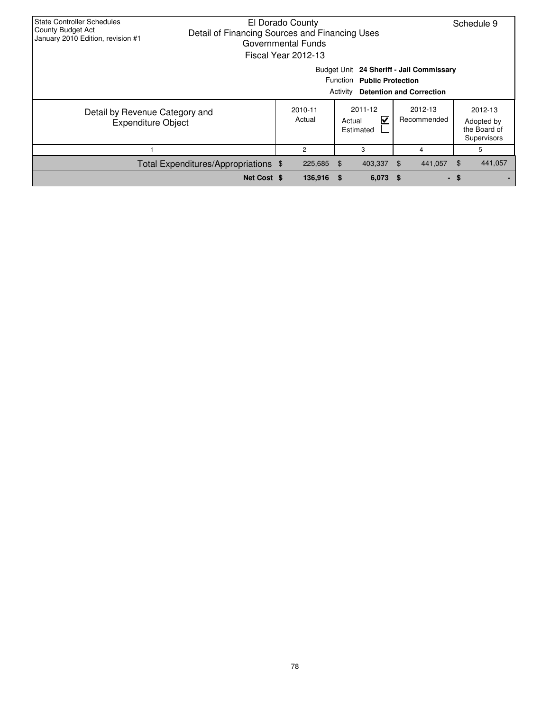| <b>State Controller Schedules</b><br>County Budget Act<br>January 2010 Edition, revision #1 | El Dorado County<br>Detail of Financing Sources and Financing Uses<br>Governmental Funds<br>Fiscal Year 2012-13    |                               |                   |      |                                                        |                        |                          |                                                      |  |  |  |
|---------------------------------------------------------------------------------------------|--------------------------------------------------------------------------------------------------------------------|-------------------------------|-------------------|------|--------------------------------------------------------|------------------------|--------------------------|------------------------------------------------------|--|--|--|
|                                                                                             | Budget Unit 24 Sheriff - Jail Commissary<br>Function Public Protection<br><b>Activity Detention and Correction</b> |                               |                   |      |                                                        |                        |                          |                                                      |  |  |  |
| Detail by Revenue Category and<br><b>Expenditure Object</b>                                 |                                                                                                                    |                               | 2010-11<br>Actual |      | 2011-12<br>$\blacktriangledown$<br>Actual<br>Estimated | 2012-13<br>Recommended |                          | 2012-13<br>Adopted by<br>the Board of<br>Supervisors |  |  |  |
|                                                                                             |                                                                                                                    | $\overline{2}$<br>3<br>5<br>4 |                   |      |                                                        |                        |                          |                                                      |  |  |  |
|                                                                                             | Total Expenditures/Appropriations \$                                                                               |                               | 225,685           | - \$ | 403,337 \$                                             |                        | \$<br>441,057<br>441,057 |                                                      |  |  |  |
|                                                                                             | Net Cost \$                                                                                                        |                               | 136,916           | - \$ | $6,073$ \$                                             |                        |                          | - \$                                                 |  |  |  |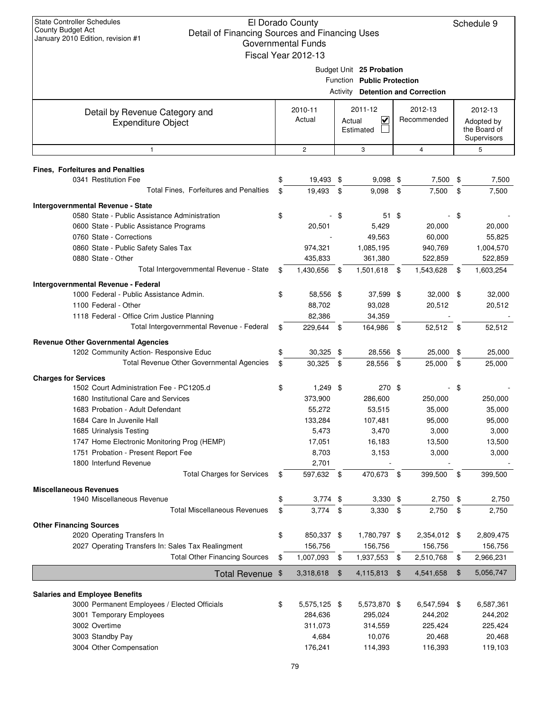|                                                                                            | Governmental Funds<br>Fiscal Year 2012-13 |        |                                                        |      |                                          |                                           |
|--------------------------------------------------------------------------------------------|-------------------------------------------|--------|--------------------------------------------------------|------|------------------------------------------|-------------------------------------------|
|                                                                                            |                                           |        | Budget Unit 25 Probation<br>Function Public Protection |      | <b>Activity Detention and Correction</b> |                                           |
|                                                                                            | 2010-11                                   |        | 2011-12                                                |      | 2012-13                                  | 2012-13                                   |
| Detail by Revenue Category and<br><b>Expenditure Object</b>                                | Actual                                    | Actual | $\overline{\mathbf{v}}$<br>Estimated                   |      | Recommended                              | Adopted by<br>the Board of<br>Supervisors |
| $\mathbf{1}$                                                                               | $\overline{c}$                            |        | 3                                                      |      | $\overline{4}$                           | 5                                         |
| <b>Fines, Forfeitures and Penalties</b>                                                    |                                           |        |                                                        |      |                                          |                                           |
| 0341 Restitution Fee                                                                       | \$<br>19,493 \$                           |        | $9,098$ \$                                             |      | $7,500$ \$                               | 7,500                                     |
| Total Fines, Forfeitures and Penalties                                                     | \$<br>19,493                              | \$     | 9,098                                                  | \$   | 7,500                                    | \$<br>7,500                               |
| Intergovernmental Revenue - State                                                          |                                           |        |                                                        |      |                                          |                                           |
| 0580 State - Public Assistance Administration                                              | \$                                        | \$     | $51$ \$                                                |      |                                          | \$                                        |
| 0600 State - Public Assistance Programs                                                    | 20,501                                    |        | 5,429                                                  |      | 20,000                                   | 20,000                                    |
| 0760 State - Corrections                                                                   |                                           |        | 49,563                                                 |      | 60,000                                   | 55,825                                    |
| 0860 State - Public Safety Sales Tax                                                       | 974,321                                   |        | 1,085,195                                              |      | 940,769                                  | 1,004,570                                 |
| 0880 State - Other                                                                         | 435,833                                   |        | 361,380                                                |      | 522,859                                  | 522,859                                   |
| Total Intergovernmental Revenue - State                                                    | \$<br>1,430,656 \$                        |        | 1,501,618                                              | - \$ | 1,543,628                                | \$<br>1,603,254                           |
|                                                                                            |                                           |        |                                                        |      |                                          |                                           |
| Intergovernmental Revenue - Federal                                                        |                                           |        |                                                        |      |                                          |                                           |
| 1000 Federal - Public Assistance Admin.                                                    | \$<br>58,556 \$                           |        | 37,599 \$                                              |      | 32,000 \$                                | 32,000                                    |
| 1100 Federal - Other                                                                       | 88,702                                    |        | 93,028                                                 |      | 20,512                                   | 20,512                                    |
| 1118 Federal - Office Crim Justice Planning                                                | 82,386                                    |        | 34,359                                                 |      |                                          |                                           |
| Total Intergovernmental Revenue - Federal                                                  | \$<br>229,644 \$                          |        | 164,986                                                | - \$ | 52,512                                   | \$<br>52,512                              |
| <b>Revenue Other Governmental Agencies</b>                                                 |                                           |        |                                                        |      |                                          |                                           |
| 1202 Community Action- Responsive Educ                                                     | \$<br>30,325 \$                           |        | 28,556 \$                                              |      | 25,000                                   | \$<br>25,000                              |
| Total Revenue Other Governmental Agencies                                                  | \$<br>30,325                              | \$     | 28,556                                                 | \$   | 25,000                                   | \$<br>25,000                              |
| <b>Charges for Services</b>                                                                |                                           |        |                                                        |      |                                          |                                           |
| 1502 Court Administration Fee - PC1205.d                                                   | \$<br>1,249 \$                            |        | 270 \$                                                 |      |                                          | \$                                        |
| 1680 Institutional Care and Services                                                       | 373,900                                   |        | 286,600                                                |      | 250,000                                  | 250,000                                   |
| 1683 Probation - Adult Defendant                                                           | 55,272                                    |        | 53,515                                                 |      | 35,000                                   | 35,000                                    |
| 1684 Care In Juvenile Hall                                                                 | 133,284                                   |        | 107,481                                                |      | 95,000                                   | 95,000                                    |
| 1685 Urinalysis Testing                                                                    | 5,473                                     |        | 3,470                                                  |      | 3,000                                    | 3,000                                     |
| 1747 Home Electronic Monitoring Prog (HEMP)                                                | 17,051                                    |        | 16,183                                                 |      | 13,500                                   | 13,500                                    |
| 1751 Probation - Present Report Fee                                                        | 8,703                                     |        | 3,153                                                  |      | 3,000                                    | 3,000                                     |
| 1800 Interfund Revenue                                                                     | 2,701                                     |        |                                                        |      |                                          |                                           |
| <b>Total Charges for Services</b>                                                          | \$<br>597,632 \$                          |        | 470,673 \$                                             |      | 399,500 \$                               | 399,500                                   |
| <b>Miscellaneous Revenues</b>                                                              |                                           |        |                                                        |      |                                          |                                           |
| 1940 Miscellaneous Revenue                                                                 | \$<br>$3,774$ \$                          |        | $3,330$ \$                                             |      | $2,750$ \$                               | 2,750                                     |
| <b>Total Miscellaneous Revenues</b>                                                        | \$<br>3,774                               | \$     | 3,330                                                  | \$   | 2,750                                    | \$<br>2,750                               |
|                                                                                            |                                           |        |                                                        |      |                                          |                                           |
| <b>Other Financing Sources</b>                                                             |                                           |        |                                                        |      |                                          |                                           |
| 2020 Operating Transfers In                                                                | \$<br>850,337 \$                          |        | 1,780,797 \$                                           |      | 2,354,012                                | \$<br>2,809,475                           |
| 2027 Operating Transfers In: Sales Tax Realingment<br><b>Total Other Financing Sources</b> | 156,756                                   |        | 156,756                                                |      | 156,756                                  | 156,756                                   |
|                                                                                            | \$<br>1,007,093                           | \$     | 1,937,553                                              | \$   | 2,510,768                                | \$<br>2,966,231                           |
| Total Revenue \$                                                                           | 3,318,618                                 | \$     | 4,115,813                                              | \$   | 4,541,658                                | \$<br>5,056,747                           |
|                                                                                            |                                           |        |                                                        |      |                                          |                                           |
| <b>Salaries and Employee Benefits</b>                                                      |                                           |        |                                                        |      |                                          |                                           |
| 3000 Permanent Employees / Elected Officials                                               | \$<br>5,575,125 \$<br>284,636             |        | 5,573,870 \$<br>295,024                                |      | 6,547,594 \$<br>244,202                  | 6,587,361<br>244,202                      |
| 3001 Temporary Employees                                                                   |                                           |        |                                                        |      |                                          |                                           |
| 3002 Overtime<br>3003 Standby Pay                                                          | 311,073<br>4,684                          |        | 314,559                                                |      | 225,424                                  | 225,424                                   |
| 3004 Other Compensation                                                                    |                                           |        | 10,076                                                 |      | 20,468                                   | 20,468                                    |
|                                                                                            | 176,241                                   |        | 114,393                                                |      | 116,393                                  | 119,103                                   |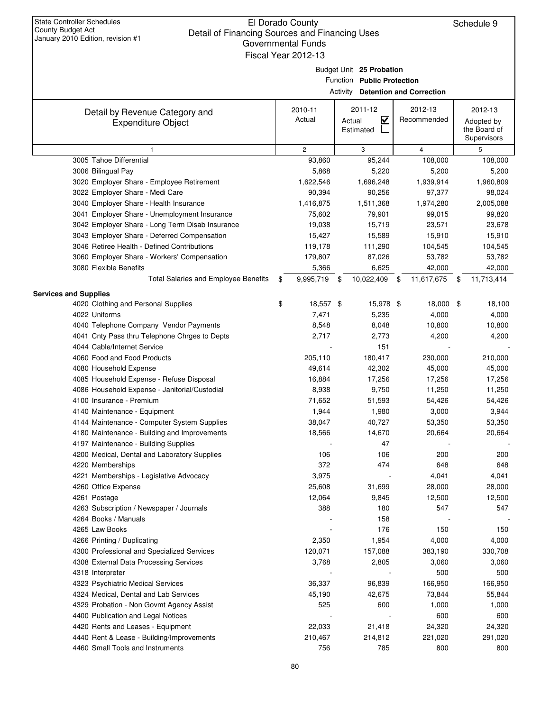|                                                                                            | Fiscal Year 2012-13 |      |                                                        |      |                  |                   |
|--------------------------------------------------------------------------------------------|---------------------|------|--------------------------------------------------------|------|------------------|-------------------|
|                                                                                            |                     |      |                                                        |      |                  |                   |
|                                                                                            |                     |      | Budget Unit 25 Probation<br>Function Public Protection |      |                  |                   |
|                                                                                            |                     |      | <b>Activity Detention and Correction</b>               |      |                  |                   |
|                                                                                            |                     |      |                                                        |      |                  |                   |
| Detail by Revenue Category and                                                             | 2010-11             |      | 2011-12                                                |      | 2012-13          | 2012-13           |
| <b>Expenditure Object</b>                                                                  | Actual              |      | $\overline{\mathsf{v}}$<br>Actual                      |      | Recommended      | Adopted by        |
|                                                                                            |                     |      | Estimated                                              |      |                  | the Board of      |
|                                                                                            |                     |      |                                                        |      |                  | Supervisors       |
| 1                                                                                          | $\mathbf{2}$        |      | 3                                                      |      | $\overline{4}$   | 5                 |
| 3005 Tahoe Differential                                                                    | 93,860              |      | 95,244                                                 |      | 108,000          | 108,000           |
| 3006 Bilingual Pay                                                                         | 5,868               |      | 5,220                                                  |      | 5,200            | 5,200             |
| 3020 Employer Share - Employee Retirement                                                  | 1,622,546           |      | 1,696,248                                              |      | 1,939,914        | 1,960,809         |
| 3022 Employer Share - Medi Care                                                            | 90,394              |      | 90,256                                                 |      | 97,377           | 98,024            |
| 3040 Employer Share - Health Insurance                                                     | 1,416,875           |      | 1,511,368                                              |      | 1,974,280        | 2,005,088         |
| 3041 Employer Share - Unemployment Insurance                                               | 75,602              |      | 79,901                                                 |      | 99,015           | 99,820            |
| 3042 Employer Share - Long Term Disab Insurance                                            | 19,038              |      | 15,719                                                 |      | 23,571           | 23,678            |
| 3043 Employer Share - Deferred Compensation<br>3046 Retiree Health - Defined Contributions | 15,427              |      | 15,589                                                 |      | 15,910           | 15,910            |
|                                                                                            | 119,178<br>179,807  |      | 111,290                                                |      | 104,545          | 104,545<br>53,782 |
| 3060 Employer Share - Workers' Compensation<br>3080 Flexible Benefits                      | 5,366               |      | 87,026<br>6,625                                        |      | 53,782<br>42,000 | 42,000            |
| <b>Total Salaries and Employee Benefits</b>                                                | \$<br>9,995,719     | - \$ | 10,022,409                                             | - \$ | 11,617,675       | \$<br>11,713,414  |
|                                                                                            |                     |      |                                                        |      |                  |                   |
| <b>Services and Supplies</b>                                                               |                     |      |                                                        |      |                  |                   |
| 4020 Clothing and Personal Supplies                                                        | \$<br>18,557 \$     |      | 15,978 \$                                              |      | 18,000           | \$<br>18,100      |
| 4022 Uniforms                                                                              | 7,471               |      | 5,235                                                  |      | 4,000            | 4,000             |
| 4040 Telephone Company Vendor Payments                                                     | 8,548               |      | 8,048                                                  |      | 10,800           | 10,800            |
| 4041 Cnty Pass thru Telephone Chrges to Depts                                              | 2,717               |      | 2,773                                                  |      | 4,200            | 4,200             |
| 4044 Cable/Internet Service                                                                |                     |      | 151                                                    |      |                  |                   |
| 4060 Food and Food Products                                                                | 205,110             |      | 180,417                                                |      | 230,000          | 210,000           |
| 4080 Household Expense                                                                     | 49,614              |      | 42,302                                                 |      | 45,000           | 45,000            |
| 4085 Household Expense - Refuse Disposal                                                   | 16,884              |      | 17,256                                                 |      | 17,256           | 17,256            |
| 4086 Household Expense - Janitorial/Custodial                                              | 8,938               |      | 9,750                                                  |      | 11,250           | 11,250            |
| 4100 Insurance - Premium                                                                   | 71,652              |      | 51,593                                                 |      | 54,426           | 54,426            |
| 4140 Maintenance - Equipment<br>4144 Maintenance - Computer System Supplies                | 1,944<br>38,047     |      | 1,980<br>40,727                                        |      | 3,000<br>53,350  | 3,944<br>53,350   |
| 4180 Maintenance - Building and Improvements                                               | 18,566              |      | 14,670                                                 |      | 20,664           | 20,664            |
| 4197 Maintenance - Building Supplies                                                       |                     |      | 47                                                     |      |                  |                   |
| 4200 Medical, Dental and Laboratory Supplies                                               | 106                 |      | 106                                                    |      | 200              | 200               |
| 4220 Memberships                                                                           | 372                 |      | 474                                                    |      | 648              | 648               |
| 4221 Memberships - Legislative Advocacy                                                    | 3,975               |      |                                                        |      | 4,041            | 4,041             |
| 4260 Office Expense                                                                        | 25,608              |      | 31,699                                                 |      | 28,000           | 28,000            |
| 4261 Postage                                                                               | 12,064              |      | 9,845                                                  |      | 12,500           | 12,500            |
| 4263 Subscription / Newspaper / Journals                                                   | 388                 |      | 180                                                    |      | 547              | 547               |
| 4264 Books / Manuals                                                                       |                     |      | 158                                                    |      |                  |                   |
| 4265 Law Books                                                                             |                     |      | 176                                                    |      | 150              | 150               |
| 4266 Printing / Duplicating                                                                | 2,350               |      | 1,954                                                  |      | 4,000            | 4,000             |
| 4300 Professional and Specialized Services                                                 | 120,071             |      | 157,088                                                |      | 383,190          | 330,708           |
| 4308 External Data Processing Services                                                     | 3,768               |      | 2,805                                                  |      | 3,060            | 3,060             |
| 4318 Interpreter                                                                           |                     |      |                                                        |      | 500              | 500               |
| 4323 Psychiatric Medical Services                                                          | 36,337              |      | 96,839                                                 |      | 166,950          | 166,950           |
| 4324 Medical, Dental and Lab Services                                                      | 45,190              |      | 42,675                                                 |      | 73,844           | 55,844            |
| 4329 Probation - Non Govmt Agency Assist                                                   | 525                 |      | 600                                                    |      | 1,000            | 1,000             |
| 4400 Publication and Legal Notices                                                         |                     |      |                                                        |      | 600              | 600               |
| 4420 Rents and Leases - Equipment                                                          | 22,033              |      | 21,418                                                 |      | 24,320           | 24,320            |
| 4440 Rent & Lease - Building/Improvements                                                  | 210,467             |      | 214,812                                                |      | 221,020          | 291,020           |
| 4460 Small Tools and Instruments                                                           | 756                 |      | 785                                                    |      | 800              | 800               |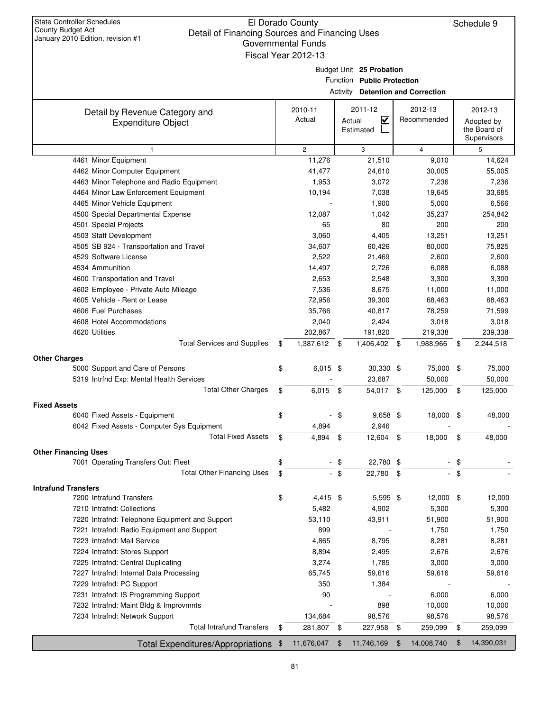Schedule 9

Budget Unit **25 Probation**

Function **Public Protection**

Activity **Detention and Correction**

|                                                             |                    | ACtivity Detention and Correction |                  |     |              |
|-------------------------------------------------------------|--------------------|-----------------------------------|------------------|-----|--------------|
|                                                             | 2010-11            | 2011-12                           | 2012-13          |     | 2012-13      |
| Detail by Revenue Category and<br><b>Expenditure Object</b> | Actual             | $\overline{\mathbf{v}}$<br>Actual | Recommended      |     | Adopted by   |
|                                                             |                    | Estimated                         |                  |     | the Board of |
|                                                             |                    |                                   |                  |     | Supervisors  |
| $\mathbf{1}$                                                | $\overline{c}$     | 3                                 | $\overline{4}$   |     | 5            |
| 4461 Minor Equipment                                        | 11,276             | 21,510                            | 9,010            |     | 14,624       |
| 4462 Minor Computer Equipment                               | 41,477             | 24,610                            | 30,005           |     | 55,005       |
| 4463 Minor Telephone and Radio Equipment                    | 1,953              | 3,072                             | 7,236            |     | 7,236        |
| 4464 Minor Law Enforcement Equipment                        | 10,194             | 7,038                             | 19,645           |     | 33,685       |
| 4465 Minor Vehicle Equipment                                |                    | 1,900                             | 5,000            |     | 6,566        |
| 4500 Special Departmental Expense                           | 12,087             | 1,042                             | 35,237           |     | 254,842      |
| 4501 Special Projects                                       | 65                 | 80                                | 200              |     | 200          |
| 4503 Staff Development                                      | 3,060              | 4,405                             | 13,251           |     | 13,251       |
| 4505 SB 924 - Transportation and Travel                     | 34,607             | 60,426                            | 80,000           |     | 75,825       |
| 4529 Software License                                       | 2,522              | 21,469                            | 2,600            |     | 2,600        |
| 4534 Ammunition                                             | 14,497             | 2.726                             | 6,088            |     | 6,088        |
| 4600 Transportation and Travel                              | 2,653              | 2,548                             | 3,300            |     | 3,300        |
| 4602 Employee - Private Auto Mileage                        | 7,536              | 8,675                             | 11,000           |     | 11,000       |
| 4605 Vehicle - Rent or Lease                                | 72,956             | 39,300                            | 68,463           |     | 68,463       |
| 4606 Fuel Purchases                                         | 35,766             | 40,817                            | 78,259           |     | 71,599       |
| 4608 Hotel Accommodations                                   | 2,040              | 2,424                             | 3,018            |     | 3,018        |
| 4620 Utilities                                              | 202,867            | 191,820                           | 219,338          |     | 239,338      |
| <b>Total Services and Supplies</b>                          | \$<br>1,387,612 \$ | 1,406,402 \$                      | 1,988,966        | \$  | 2,244,518    |
| <b>Other Charges</b>                                        |                    |                                   |                  |     |              |
| 5000 Support and Care of Persons                            | \$<br>$6,015$ \$   | 30,330 \$                         | 75,000           | -\$ | 75,000       |
| 5319 Intrfnd Exp: Mental Health Services                    |                    | 23,687                            | 50,000           |     | 50,000       |
| <b>Total Other Charges</b>                                  | \$<br>6,015        | 54,017 \$<br>-\$                  | 125,000          | \$  | 125,000      |
| <b>Fixed Assets</b>                                         |                    |                                   |                  |     |              |
| 6040 Fixed Assets - Equipment                               | \$<br>Ξ.           | \$<br>$9,658$ \$                  | 18,000           | \$  | 48,000       |
| 6042 Fixed Assets - Computer Sys Equipment                  | 4,894              | 2,946                             |                  |     |              |
| <b>Total Fixed Assets</b>                                   | \$<br>4,894        | 12,604<br>\$                      | \$<br>18,000     | \$  | 48,000       |
| <b>Other Financing Uses</b>                                 |                    |                                   |                  |     |              |
| 7001 Operating Transfers Out: Fleet                         | \$                 | 22,780 \$<br>\$                   |                  | \$  |              |
| <b>Total Other Financing Uses</b>                           | \$                 | $-$ \$<br>22,780                  | \$               | \$  |              |
|                                                             |                    |                                   |                  |     |              |
| <b>Intrafund Transfers</b>                                  |                    |                                   |                  |     |              |
| 7200 Intrafund Transfers                                    | \$<br>4,415 \$     | 5,595 \$                          | 12,000           | \$  | 12,000       |
| 7210 Intrafnd: Collections                                  | 5,482              | 4,902                             | 5,300            |     | 5,300        |
| 7220 Intrafnd: Telephone Equipment and Support              | 53,110             | 43,911                            | 51,900           |     | 51,900       |
| 7221 Intrafnd: Radio Equipment and Support                  | 899                |                                   | 1,750            |     | 1,750        |
| 7223 Intrafnd: Mail Service                                 | 4,865              | 8,795                             | 8,281            |     | 8,281        |
| 7224 Intrafnd: Stores Support                               | 8,894              | 2,495                             | 2,676            |     | 2,676        |
| 7225 Intrafnd: Central Duplicating                          | 3,274              | 1,785                             | 3,000            |     | 3,000        |
| 7227 Intrafnd: Internal Data Processing                     | 65,745             | 59,616                            | 59,616           |     | 59,616       |
| 7229 Intrafnd: PC Support                                   | 350                | 1,384                             |                  |     |              |
| 7231 Intrafnd: IS Programming Support                       | 90                 |                                   | 6,000            |     | 6,000        |
| 7232 Intrafnd: Maint Bldg & Improvmnts                      |                    | 898                               | 10,000           |     | 10,000       |
| 7234 Intrafnd: Network Support                              | 134,684            | 98,576                            | 98,576           |     | 98,576       |
| <b>Total Intrafund Transfers</b>                            | \$<br>281,807 \$   | 227,958                           | \$<br>259,099    | \$  | 259,099      |
| Total Expenditures/Appropriations \$                        | 11,676,047         | \$<br>11,746,169                  | \$<br>14,008,740 | \$  | 14,390,031   |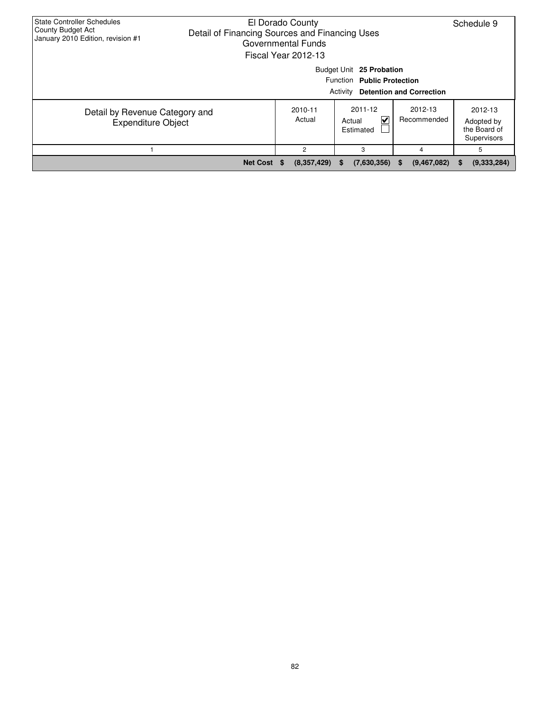| <b>State Controller Schedules</b><br>El Dorado County<br>County Budget Act<br>Detail of Financing Sources and Financing Uses<br>January 2010 Edition, revision #1<br>Governmental Funds<br>Fiscal Year 2012-13 |                 |                                                          |                                                                                                    |                        | Schedule 9                                           |
|----------------------------------------------------------------------------------------------------------------------------------------------------------------------------------------------------------------|-----------------|----------------------------------------------------------|----------------------------------------------------------------------------------------------------|------------------------|------------------------------------------------------|
|                                                                                                                                                                                                                |                 |                                                          | Budget Unit 25 Probation<br>Function Public Protection<br><b>Activity Detention and Correction</b> |                        |                                                      |
| Detail by Revenue Category and<br><b>Expenditure Object</b>                                                                                                                                                    |                 | 2011-12<br>2010-11<br>Actual<br>V<br>Actual<br>Estimated |                                                                                                    | 2012-13<br>Recommended | 2012-13<br>Adopted by<br>the Board of<br>Supervisors |
|                                                                                                                                                                                                                |                 | 2                                                        | 3                                                                                                  | 4                      | 5                                                    |
|                                                                                                                                                                                                                | <b>Net Cost</b> | (8,357,429)<br>- 56                                      | (7,630,356)<br>\$                                                                                  | (9,467,082)<br>S.      | (9,333,284)<br>\$                                    |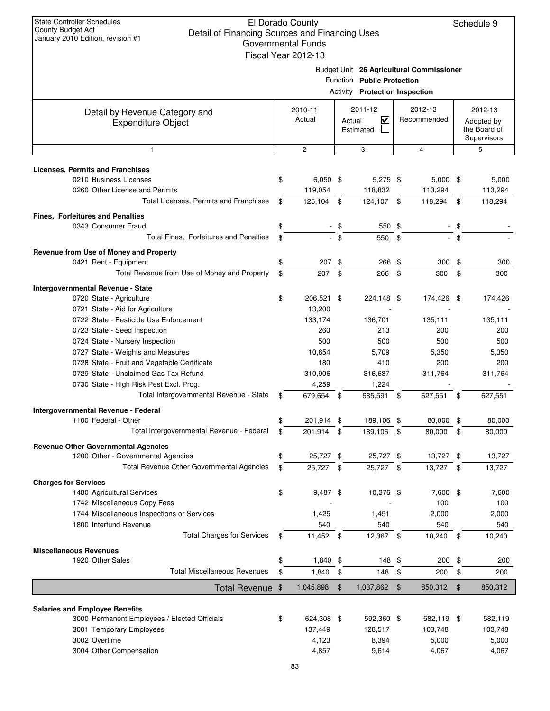|                                                                 |    | GUVENIMENIAI FUNGS<br>Fiscal Year 2012-13 |        |                                                                     |     |                                          |     |                                                      |
|-----------------------------------------------------------------|----|-------------------------------------------|--------|---------------------------------------------------------------------|-----|------------------------------------------|-----|------------------------------------------------------|
|                                                                 |    |                                           |        | Function Public Protection<br><b>Activity Protection Inspection</b> |     | Budget Unit 26 Agricultural Commissioner |     |                                                      |
| Detail by Revenue Category and<br><b>Expenditure Object</b>     |    | 2010-11<br>Actual                         | Actual | 2011-12<br>$\checkmark$<br>Estimated                                |     | 2012-13<br>Recommended                   |     | 2012-13<br>Adopted by<br>the Board of<br>Supervisors |
| $\mathbf{1}$                                                    |    | $\overline{c}$                            |        | 3                                                                   |     | $\overline{4}$                           |     | 5                                                    |
| <b>Licenses, Permits and Franchises</b>                         |    |                                           |        |                                                                     |     |                                          |     |                                                      |
| 0210 Business Licenses                                          | \$ | $6,050$ \$                                |        | $5,275$ \$                                                          |     | $5,000$ \$                               |     | 5,000                                                |
| 0260 Other License and Permits                                  |    | 119,054                                   |        | 118,832                                                             |     | 113,294                                  |     | 113,294                                              |
| Total Licenses, Permits and Franchises                          | \$ | 125,104 \$                                |        | 124,107 \$                                                          |     | 118,294                                  | \$  | 118,294                                              |
| <b>Fines, Forfeitures and Penalties</b>                         |    |                                           |        |                                                                     |     |                                          |     |                                                      |
| 0343 Consumer Fraud                                             | \$ |                                           | - \$   | 550 \$                                                              |     |                                          | \$  |                                                      |
| Total Fines, Forfeitures and Penalties                          | \$ |                                           | $-$ \$ | 550 \$                                                              |     |                                          | \$  |                                                      |
|                                                                 |    |                                           |        |                                                                     |     |                                          |     |                                                      |
| Revenue from Use of Money and Property<br>0421 Rent - Equipment | \$ | 207 \$                                    |        | 266                                                                 | \$  | $300*$                                   |     | 300                                                  |
| Total Revenue from Use of Money and Property                    | \$ | 207                                       | \$     | 266                                                                 | \$  | 300                                      | \$  | 300                                                  |
|                                                                 |    |                                           |        |                                                                     |     |                                          |     |                                                      |
| <b>Intergovernmental Revenue - State</b>                        |    |                                           |        |                                                                     |     |                                          |     |                                                      |
| 0720 State - Agriculture                                        | \$ | 206,521 \$                                |        | 224,148 \$                                                          |     | 174,426 \$                               |     | 174,426                                              |
| 0721 State - Aid for Agriculture                                |    | 13,200                                    |        |                                                                     |     |                                          |     |                                                      |
| 0722 State - Pesticide Use Enforcement                          |    | 133,174                                   |        | 136,701                                                             |     | 135,111                                  |     | 135,111                                              |
| 0723 State - Seed Inspection                                    |    | 260                                       |        | 213                                                                 |     | 200                                      |     | 200                                                  |
| 0724 State - Nursery Inspection                                 |    | 500                                       |        | 500                                                                 |     | 500                                      |     | 500                                                  |
| 0727 State - Weights and Measures                               |    | 10,654                                    |        | 5,709                                                               |     | 5,350                                    |     | 5,350                                                |
| 0728 State - Fruit and Vegetable Certificate                    |    | 180                                       |        | 410                                                                 |     | 200                                      |     | 200                                                  |
| 0729 State - Unclaimed Gas Tax Refund                           |    | 310,906                                   |        | 316,687                                                             |     | 311,764                                  |     | 311,764                                              |
| 0730 State - High Risk Pest Excl. Prog.                         |    | 4,259                                     |        | 1,224                                                               |     |                                          |     |                                                      |
| Total Intergovernmental Revenue - State                         | S  | 679,654 \$                                |        | 685,591 \$                                                          |     | 627,551                                  | -\$ | 627,551                                              |
| Intergovernmental Revenue - Federal                             |    |                                           |        |                                                                     |     |                                          |     |                                                      |
| 1100 Federal - Other                                            | \$ | 201,914 \$                                |        | 189,106 \$                                                          |     | 80,000 \$                                |     | 80,000                                               |
| Total Intergovernmental Revenue - Federal                       | \$ | 201,914                                   | \$     | 189,106                                                             | \$  | 80,000                                   | \$  | 80,000                                               |
| <b>Revenue Other Governmental Agencies</b>                      |    |                                           |        |                                                                     |     |                                          |     |                                                      |
| 1200 Other - Governmental Agencies                              | \$ | 25,727 \$                                 |        | 25,727 \$                                                           |     | 13,727 \$                                |     | 13,727                                               |
| Total Revenue Other Governmental Agencies                       | \$ | 25,727                                    | - \$   | 25,727                                                              | -\$ | 13,727                                   | \$  | 13,727                                               |
| <b>Charges for Services</b>                                     |    |                                           |        |                                                                     |     |                                          |     |                                                      |
| 1480 Agricultural Services                                      | \$ | 9,487 \$                                  |        | 10,376 \$                                                           |     | 7,600 \$                                 |     | 7,600                                                |
| 1742 Miscellaneous Copy Fees                                    |    |                                           |        |                                                                     |     | 100                                      |     | 100                                                  |
| 1744 Miscellaneous Inspections or Services                      |    | 1,425                                     |        | 1,451                                                               |     | 2,000                                    |     | 2,000                                                |
| 1800 Interfund Revenue                                          |    | 540                                       |        | 540                                                                 |     | 540                                      |     | 540                                                  |
| <b>Total Charges for Services</b>                               | \$ | 11,452 \$                                 |        | 12,367 \$                                                           |     | 10,240                                   | \$  | 10,240                                               |
|                                                                 |    |                                           |        |                                                                     |     |                                          |     |                                                      |
| <b>Miscellaneous Revenues</b><br>1920 Other Sales               | \$ | $1,840$ \$                                |        | $148$ \$                                                            |     | 200                                      | \$  | 200                                                  |
| <b>Total Miscellaneous Revenues</b>                             | \$ | $1,840$ \$                                |        | 148                                                                 | -\$ | 200                                      | \$  | 200                                                  |
| Total Revenue \$                                                |    | 1,045,898                                 | \$     | 1,037,862 \$                                                        |     | 850,312                                  | \$  | 850,312                                              |
|                                                                 |    |                                           |        |                                                                     |     |                                          |     |                                                      |
| <b>Salaries and Employee Benefits</b>                           |    |                                           |        |                                                                     |     |                                          |     |                                                      |
| 3000 Permanent Employees / Elected Officials                    | \$ | 624,308 \$                                |        | 592,360 \$                                                          |     | 582,119 \$                               |     | 582,119                                              |
| 3001 Temporary Employees                                        |    | 137,449                                   |        | 128,517                                                             |     | 103,748                                  |     | 103,748                                              |
| 3002 Overtime                                                   |    | 4,123                                     |        | 8,394                                                               |     | 5,000                                    |     | 5,000                                                |
| 3004 Other Compensation                                         |    | 4,857                                     |        | 9,614                                                               |     | 4,067                                    |     | 4,067                                                |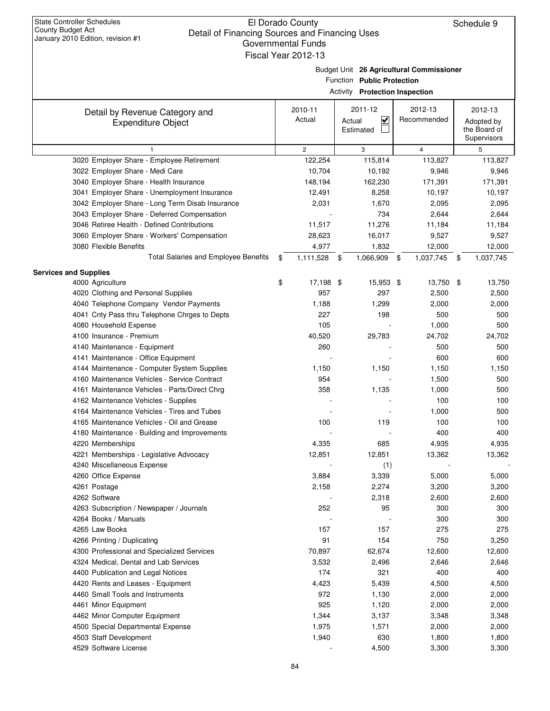| - - - |                                          |
|-------|------------------------------------------|
|       | Budget Unit 26 Agricultural Commissioner |

Function **Public Protection**

| <b>Activity Protection Inspection</b> |  |
|---------------------------------------|--|
|                                       |  |

|                                                             | 2010-11            | 2011-12                           | 2012-13        | 2012-13         |
|-------------------------------------------------------------|--------------------|-----------------------------------|----------------|-----------------|
| Detail by Revenue Category and<br><b>Expenditure Object</b> | Actual             | $\overline{\mathbf{v}}$<br>Actual | Recommended    | Adopted by      |
|                                                             |                    | Estimated                         |                | the Board of    |
|                                                             |                    |                                   |                | Supervisors     |
| $\mathbf{1}$                                                | $\mathbf{2}$       | 3                                 | $\overline{4}$ | 5               |
| 3020 Employer Share - Employee Retirement                   | 122,254            | 115,814                           | 113,827        | 113,827         |
| 3022 Employer Share - Medi Care                             | 10,704             | 10,192                            | 9,946          | 9,946           |
| 3040 Employer Share - Health Insurance                      | 148,194            | 162,230                           | 171,391        | 171,391         |
| 3041 Employer Share - Unemployment Insurance                | 12,491             | 8,258                             | 10,197         | 10,197          |
| 3042 Employer Share - Long Term Disab Insurance             | 2,031              | 1,670                             | 2,095          | 2,095           |
| 3043 Employer Share - Deferred Compensation                 |                    | 734                               | 2,644          | 2,644           |
| 3046 Retiree Health - Defined Contributions                 | 11,517             | 11,276                            | 11,184         | 11,184          |
| 3060 Employer Share - Workers' Compensation                 | 28,623             | 16,017                            | 9,527          | 9,527           |
| 3080 Flexible Benefits                                      | 4,977              | 1,832                             | 12,000         | 12,000          |
| Total Salaries and Employee Benefits                        | \$<br>1,111,528 \$ | 1,066,909 \$                      | 1,037,745      | \$<br>1,037,745 |
| <b>Services and Supplies</b>                                |                    |                                   |                |                 |
| 4000 Agriculture                                            | \$<br>17,198 \$    | 15,953 \$                         | 13,750         | \$<br>13,750    |
| 4020 Clothing and Personal Supplies                         | 957                | 297                               | 2,500          | 2,500           |
| 4040 Telephone Company Vendor Payments                      | 1,188              | 1,299                             | 2,000          | 2,000           |
| 4041 Cnty Pass thru Telephone Chrges to Depts               | 227                | 198                               | 500            | 500             |
| 4080 Household Expense                                      | 105                |                                   | 1,000          | 500             |
| 4100 Insurance - Premium                                    | 40,520             | 29,783                            | 24,702         | 24,702          |
| 4140 Maintenance - Equipment                                | 260                |                                   | 500            | 500             |
| 4141 Maintenance - Office Equipment                         |                    |                                   | 600            | 600             |
| 4144 Maintenance - Computer System Supplies                 | 1,150              | 1,150                             | 1,150          | 1,150           |
| 4160 Maintenance Vehicles - Service Contract                | 954                |                                   | 1,500          | 500             |
| 4161 Maintenance Vehicles - Parts/Direct Chrg               | 358                | 1,135                             | 1,000          | 500             |
| 4162 Maintenance Vehicles - Supplies                        |                    |                                   | 100            | 100             |
| 4164 Maintenance Vehicles - Tires and Tubes                 |                    |                                   | 1,000          | 500             |
| 4165 Maintenance Vehicles - Oil and Grease                  | 100                | 119                               | 100            | 100             |
| 4180 Maintenance - Building and Improvements                |                    |                                   | 400            | 400             |
| 4220 Memberships                                            | 4,335              | 685                               | 4,935          | 4,935           |
| 4221 Memberships - Legislative Advocacy                     | 12,851             | 12,851                            | 13,362         | 13,362          |
| 4240 Miscellaneous Expense                                  |                    | (1)                               |                |                 |
| 4260 Office Expense                                         | 3,884              | 3,339                             | 5,000          | 5,000           |
| 4261 Postage                                                | 2,158              | 2,274                             | 3,200          | 3,200           |
| 4262 Software                                               |                    | 2,318                             | 2,600          | 2,600           |
| 4263 Subscription / Newspaper / Journals                    | 252                | 95                                | 300            | 300             |
| 4264 Books / Manuals                                        |                    |                                   | 300            | 300             |
| 4265 Law Books                                              | 157                | 157                               | 275            | 275             |
| 4266 Printing / Duplicating                                 | 91                 | 154                               | 750            | 3,250           |
| 4300 Professional and Specialized Services                  | 70,897             | 62,674                            | 12,600         | 12,600          |
| 4324 Medical, Dental and Lab Services                       | 3,532              | 2,496                             | 2,646          | 2,646           |
| 4400 Publication and Legal Notices                          | 174                | 321                               | 400            | 400             |
| 4420 Rents and Leases - Equipment                           | 4,423              | 5,439                             | 4,500          | 4,500           |
| 4460 Small Tools and Instruments                            | 972                | 1,130                             | 2,000          | 2,000           |
| 4461 Minor Equipment                                        | 925                | 1,120                             | 2,000          | 2,000           |
| 4462 Minor Computer Equipment                               | 1,344              | 3,137                             | 3,348          | 3,348           |
| 4500 Special Departmental Expense                           | 1,975              | 1,571                             | 2,000          | 2,000           |
| 4503 Staff Development                                      | 1,940              | 630                               | 1,800          | 1,800           |
| 4529 Software License                                       |                    | 4,500                             | 3,300          | 3,300           |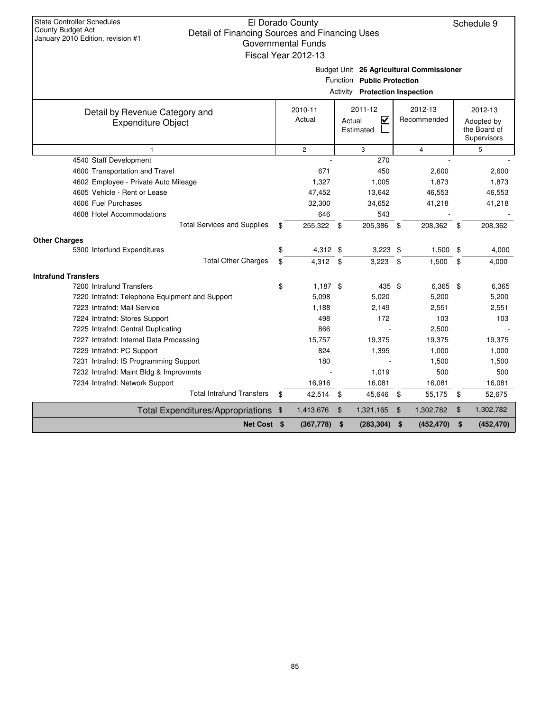| Budget Unit 26 Agricultural Commissioner |
|------------------------------------------|
|                                          |

Function **Public Protection**

|                                                             |                   |      | <b>Activity Protection Inspection</b>                     |                |                        |                                                      |
|-------------------------------------------------------------|-------------------|------|-----------------------------------------------------------|----------------|------------------------|------------------------------------------------------|
| Detail by Revenue Category and<br><b>Expenditure Object</b> | 2010-11<br>Actual |      | 2011-12<br>$\overline{\mathbf{v}}$<br>Actual<br>Estimated |                | 2012-13<br>Recommended | 2012-13<br>Adopted by<br>the Board of<br>Supervisors |
| $\mathbf{1}$                                                | $\mathbf{2}$      |      | 3                                                         |                | $\overline{4}$         | 5                                                    |
| 4540 Staff Development                                      |                   |      | 270                                                       |                |                        |                                                      |
| 4600 Transportation and Travel                              | 671               |      | 450                                                       |                | 2,600                  | 2,600                                                |
| 4602 Employee - Private Auto Mileage                        | 1,327             |      | 1,005                                                     |                | 1,873                  | 1,873                                                |
| 4605 Vehicle - Rent or Lease                                | 47,452            |      | 13,642                                                    |                | 46,553                 | 46,553                                               |
| 4606 Fuel Purchases                                         | 32,300            |      | 34,652                                                    |                | 41,218                 | 41,218                                               |
| 4608 Hotel Accommodations                                   | 646               |      | 543                                                       |                |                        |                                                      |
| <b>Total Services and Supplies</b>                          | \$<br>255,322     | \$   | 205,386                                                   | \$             | 208,362                | \$<br>208,362                                        |
| <b>Other Charges</b>                                        |                   |      |                                                           |                |                        |                                                      |
| 5300 Interfund Expenditures                                 | \$<br>$4,312$ \$  |      | $3,223$ \$                                                |                | $1,500$ \$             | 4,000                                                |
| <b>Total Other Charges</b>                                  | \$<br>4,312       | - \$ | 3,223                                                     | \$             | 1,500                  | \$<br>4,000                                          |
| <b>Intrafund Transfers</b>                                  |                   |      |                                                           |                |                        |                                                      |
| 7200 Intrafund Transfers                                    | \$<br>$1,187$ \$  |      | 435 \$                                                    |                | 6,365 \$               | 6,365                                                |
| 7220 Intrafnd: Telephone Equipment and Support              | 5,098             |      | 5,020                                                     |                | 5,200                  | 5,200                                                |
| 7223 Intrafnd: Mail Service                                 | 1,188             |      | 2,149                                                     |                | 2,551                  | 2,551                                                |
| 7224 Intrafnd: Stores Support                               | 498               |      | 172                                                       |                | 103                    | 103                                                  |
| 7225 Intrafnd: Central Duplicating                          | 866               |      |                                                           |                | 2,500                  |                                                      |
| 7227 Intrafnd: Internal Data Processing                     | 15,757            |      | 19,375                                                    |                | 19,375                 | 19,375                                               |
| 7229 Intrafnd: PC Support                                   | 824               |      | 1,395                                                     |                | 1,000                  | 1,000                                                |
| 7231 Intrafnd: IS Programming Support                       | 180               |      |                                                           |                | 1,500                  | 1,500                                                |
| 7232 Intrafnd: Maint Bldg & Improvmnts                      |                   |      | 1,019                                                     |                | 500                    | 500                                                  |
| 7234 Intrafnd: Network Support                              | 16,916            |      | 16,081                                                    |                | 16,081                 | 16,081                                               |
| <b>Total Intrafund Transfers</b>                            | \$<br>42,514 \$   |      | 45,646                                                    | \$             | 55,175                 | \$<br>52,675                                         |
| Total Expenditures/Appropriations \$                        | 1,413,676         | \$   | 1,321,165                                                 | $\mathfrak{F}$ | 1,302,782              | \$<br>1,302,782                                      |
| Net Cost \$                                                 | (367, 778)        | \$   | (283, 304)                                                | \$             | (452, 470)             | \$<br>(452, 470)                                     |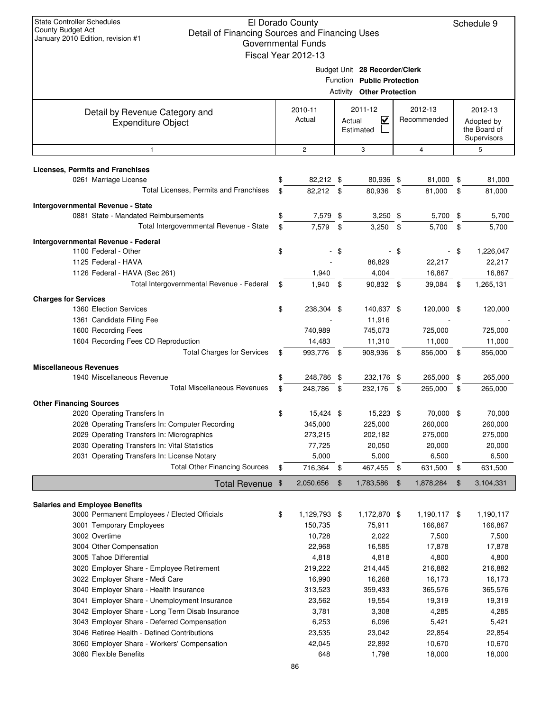| January 2010 Edition, revision #1                                                             | <b>Governmental Funds</b> |     |                                                                |      |                    |      |                             |
|-----------------------------------------------------------------------------------------------|---------------------------|-----|----------------------------------------------------------------|------|--------------------|------|-----------------------------|
|                                                                                               | Fiscal Year 2012-13       |     |                                                                |      |                    |      |                             |
|                                                                                               |                           |     | Budget Unit 28 Recorder/Clerk                                  |      |                    |      |                             |
|                                                                                               |                           |     | Function Public Protection<br><b>Activity Other Protection</b> |      |                    |      |                             |
|                                                                                               |                           |     |                                                                |      |                    |      |                             |
| Detail by Revenue Category and                                                                | 2010-11                   |     | 2011-12                                                        |      | 2012-13            |      | 2012-13                     |
| <b>Expenditure Object</b>                                                                     | Actual                    |     | $\overline{\mathbf{v}}$<br>Actual                              |      | Recommended        |      | Adopted by                  |
|                                                                                               |                           |     | Estimated                                                      |      |                    |      | the Board of<br>Supervisors |
| $\mathbf{1}$                                                                                  | $\mathbf{2}$              |     | 3                                                              |      | $\overline{4}$     |      | 5                           |
| <b>Licenses, Permits and Franchises</b>                                                       |                           |     |                                                                |      |                    |      |                             |
| 0261 Marriage License                                                                         | \$<br>82,212 \$           |     | 80,936 \$                                                      |      | 81,000             | \$   | 81,000                      |
| Total Licenses, Permits and Franchises                                                        | \$<br>82,212 \$           |     | 80,936 \$                                                      |      | 81,000             | \$   | 81,000                      |
| Intergovernmental Revenue - State                                                             |                           |     |                                                                |      |                    |      |                             |
| 0881 State - Mandated Reimbursements                                                          | \$<br>7,579 \$            |     | $3,250$ \$                                                     |      | 5,700              | \$   | 5,700                       |
| Total Intergovernmental Revenue - State                                                       | \$<br>7,579               | \$  | $3,250$ \$                                                     |      | 5,700              | \$   | 5,700                       |
| Intergovernmental Revenue - Federal                                                           |                           |     |                                                                |      |                    |      |                             |
| 1100 Federal - Other                                                                          | \$                        | \$  |                                                                | - \$ |                    | - \$ | 1,226,047                   |
| 1125 Federal - HAVA                                                                           |                           |     | 86,829                                                         |      | 22,217             |      | 22,217                      |
| 1126 Federal - HAVA (Sec 261)                                                                 | 1,940                     |     | 4,004                                                          |      | 16,867             |      | 16,867                      |
| Total Intergovernmental Revenue - Federal                                                     | \$<br>$1,940$ \$          |     | 90,832 \$                                                      |      | 39,084 \$          |      | 1,265,131                   |
| <b>Charges for Services</b>                                                                   |                           |     |                                                                |      |                    |      |                             |
| 1360 Election Services                                                                        | \$<br>238,304 \$          |     | 140,637 \$                                                     |      | 120,000 \$         |      | 120,000                     |
| 1361 Candidate Filing Fee                                                                     |                           |     | 11,916                                                         |      |                    |      |                             |
| 1600 Recording Fees                                                                           | 740,989                   |     | 745,073                                                        |      | 725,000            |      | 725,000                     |
| 1604 Recording Fees CD Reproduction                                                           | 14,483                    |     | 11,310                                                         |      | 11,000             |      | 11,000                      |
| <b>Total Charges for Services</b>                                                             | \$<br>993,776 \$          |     | 908,936 \$                                                     |      | 856,000 \$         |      | 856,000                     |
|                                                                                               |                           |     |                                                                |      |                    |      |                             |
| <b>Miscellaneous Revenues</b><br>1940 Miscellaneous Revenue                                   | \$<br>248,786 \$          |     | 232,176 \$                                                     |      | 265,000            | \$   | 265,000                     |
| <b>Total Miscellaneous Revenues</b>                                                           | \$<br>248,786             | -\$ | 232,176 \$                                                     |      | 265,000            | \$   | 265,000                     |
|                                                                                               |                           |     |                                                                |      |                    |      |                             |
| <b>Other Financing Sources</b>                                                                |                           |     |                                                                |      |                    |      |                             |
| 2020 Operating Transfers In                                                                   | \$<br>15,424 \$           |     | 15,223 \$                                                      |      | 70,000 \$          |      | 70,000                      |
| 2028 Operating Transfers In: Computer Recording<br>2029 Operating Transfers In: Micrographics | 345,000                   |     | 225,000<br>202,182                                             |      | 260,000<br>275,000 |      | 260,000<br>275,000          |
| 2030 Operating Transfers In: Vital Statistics                                                 | 273,215<br>77,725         |     | 20,050                                                         |      | 20,000             |      | 20,000                      |
| 2031 Operating Transfers In: License Notary                                                   | 5,000                     |     | 5,000                                                          |      | 6,500              |      | 6,500                       |
| <b>Total Other Financing Sources</b>                                                          | \$<br>716,364             | \$  | 467,455                                                        | - \$ | 631,500            | \$   | 631,500                     |
| Total Revenue \$                                                                              | 2,050,656                 | \$  | 1,783,586                                                      | \$   | 1,878,284          | \$   | 3,104,331                   |
|                                                                                               |                           |     |                                                                |      |                    |      |                             |
| <b>Salaries and Employee Benefits</b>                                                         |                           |     |                                                                |      |                    |      |                             |
| 3000 Permanent Employees / Elected Officials                                                  | \$<br>1,129,793 \$        |     | 1,172,870 \$                                                   |      | 1,190,117 \$       |      | 1,190,117                   |
| 3001 Temporary Employees                                                                      | 150,735                   |     | 75,911                                                         |      | 166,867            |      | 166,867                     |
| 3002 Overtime                                                                                 | 10,728                    |     | 2,022                                                          |      | 7,500              |      | 7,500                       |
| 3004 Other Compensation                                                                       | 22,968                    |     | 16,585                                                         |      | 17,878             |      | 17,878                      |
| 3005 Tahoe Differential                                                                       | 4,818                     |     | 4,818                                                          |      | 4,800              |      | 4,800                       |
| 3020 Employer Share - Employee Retirement                                                     | 219,222                   |     | 214,445                                                        |      | 216,882            |      | 216,882                     |
| 3022 Employer Share - Medi Care                                                               | 16,990                    |     | 16,268                                                         |      | 16,173             |      | 16,173                      |
| 3040 Employer Share - Health Insurance                                                        | 313,523                   |     | 359,433                                                        |      | 365,576            |      | 365,576                     |
| 3041 Employer Share - Unemployment Insurance                                                  | 23,562                    |     | 19,554                                                         |      | 19,319             |      | 19,319                      |
| 3042 Employer Share - Long Term Disab Insurance                                               | 3,781                     |     | 3,308                                                          |      | 4,285              |      | 4,285                       |
| 3043 Employer Share - Deferred Compensation<br>3046 Retiree Health - Defined Contributions    | 6,253<br>23,535           |     | 6,096<br>23,042                                                |      | 5,421<br>22,854    |      | 5,421<br>22,854             |
| 3060 Employer Share - Workers' Compensation                                                   | 42,045                    |     | 22,892                                                         |      | 10,670             |      | 10,670                      |
|                                                                                               |                           |     |                                                                |      |                    |      |                             |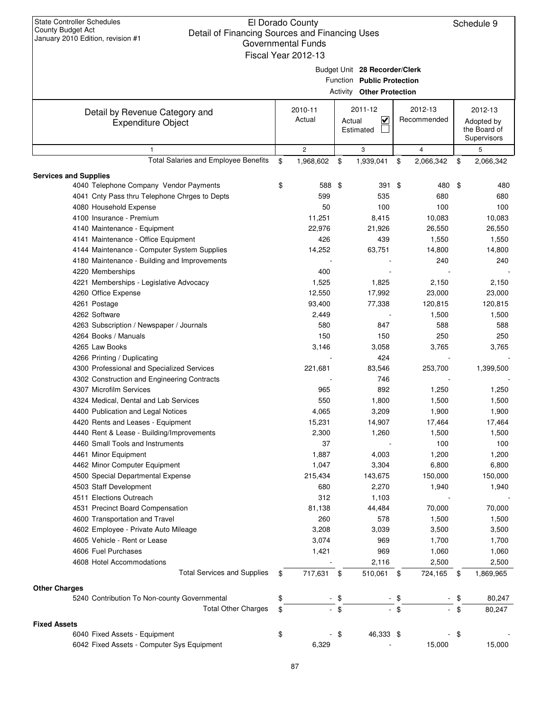| 2-13 |                               |
|------|-------------------------------|
|      | Budget Unit 28 Recorder/Clerk |
|      | Function Public Protection    |
|      | $A$ othiche Athen Duateatham  |

|                                                             | Function Public Protection       |                   |        |                                              |        |                |              |                  |  |
|-------------------------------------------------------------|----------------------------------|-------------------|--------|----------------------------------------------|--------|----------------|--------------|------------------|--|
|                                                             | <b>Activity Other Protection</b> |                   |        |                                              |        |                |              |                  |  |
|                                                             |                                  | 2010-11<br>Actual |        | 2011-12<br>$\overline{\mathbf{v}}$<br>Actual |        | 2012-13        |              | 2012-13          |  |
| Detail by Revenue Category and<br><b>Expenditure Object</b> |                                  |                   |        |                                              |        | Recommended    |              | Adopted by       |  |
|                                                             |                                  |                   |        | Estimated                                    |        |                | the Board of |                  |  |
|                                                             |                                  |                   |        |                                              |        |                |              | Supervisors      |  |
| 1                                                           |                                  | $\mathbf{2}$      |        | 3                                            |        | $\overline{4}$ |              | 5                |  |
| Total Salaries and Employee Benefits                        | \$                               | 1,968,602         | \$     | 1,939,041                                    | \$     | 2,066,342      | \$           | 2,066,342        |  |
| <b>Services and Supplies</b>                                |                                  |                   |        |                                              |        |                |              |                  |  |
| 4040 Telephone Company Vendor Payments                      | \$                               | 588 \$            |        | 391 \$                                       |        | 480            | \$           | 480              |  |
| 4041 Cnty Pass thru Telephone Chrges to Depts               |                                  | 599               |        | 535                                          |        | 680            |              | 680              |  |
| 4080 Household Expense                                      |                                  | 50                |        | 100                                          |        | 100            |              | 100              |  |
| 4100 Insurance - Premium                                    |                                  | 11,251            |        | 8,415                                        |        | 10,083         |              | 10,083           |  |
| 4140 Maintenance - Equipment                                |                                  | 22,976            |        | 21,926                                       |        | 26,550         |              | 26,550           |  |
| 4141 Maintenance - Office Equipment                         |                                  | 426               |        | 439                                          |        | 1,550          |              | 1,550            |  |
| 4144 Maintenance - Computer System Supplies                 |                                  | 14,252            |        | 63,751                                       |        | 14,800         |              | 14,800           |  |
| 4180 Maintenance - Building and Improvements                |                                  |                   |        |                                              |        | 240            |              | 240              |  |
| 4220 Memberships                                            |                                  | 400               |        |                                              |        |                |              |                  |  |
| 4221 Memberships - Legislative Advocacy                     |                                  | 1,525             |        | 1,825                                        |        | 2,150          |              | 2,150            |  |
| 4260 Office Expense                                         |                                  | 12,550            |        | 17,992                                       |        | 23,000         |              | 23,000           |  |
| 4261 Postage                                                |                                  | 93,400            |        | 77,338                                       |        | 120,815        |              | 120,815          |  |
| 4262 Software                                               |                                  | 2,449             |        |                                              |        | 1,500          |              | 1,500            |  |
| 4263 Subscription / Newspaper / Journals                    |                                  | 580               |        | 847                                          |        | 588            |              | 588              |  |
| 4264 Books / Manuals                                        |                                  | 150               |        | 150                                          |        | 250            |              | 250              |  |
| 4265 Law Books                                              |                                  | 3,146             |        | 3,058                                        |        | 3,765          |              | 3,765            |  |
| 4266 Printing / Duplicating                                 |                                  |                   |        | 424                                          |        |                |              |                  |  |
| 4300 Professional and Specialized Services                  |                                  | 221,681           |        | 83,546                                       |        | 253,700        |              | 1,399,500        |  |
| 4302 Construction and Engineering Contracts                 |                                  |                   |        | 746                                          |        |                |              |                  |  |
| 4307 Microfilm Services                                     |                                  | 965               |        | 892                                          |        | 1,250          |              | 1,250            |  |
| 4324 Medical, Dental and Lab Services                       |                                  | 550               |        | 1,800                                        |        | 1,500          |              | 1,500            |  |
| 4400 Publication and Legal Notices                          |                                  | 4,065             |        | 3,209                                        |        | 1,900          |              | 1,900            |  |
| 4420 Rents and Leases - Equipment                           |                                  | 15,231            |        | 14,907                                       |        | 17,464         |              | 17,464           |  |
| 4440 Rent & Lease - Building/Improvements                   |                                  | 2,300             |        | 1,260                                        |        | 1,500          |              | 1,500            |  |
| 4460 Small Tools and Instruments                            |                                  | 37                |        |                                              |        | 100            |              | 100              |  |
| 4461 Minor Equipment<br>4462 Minor Computer Equipment       |                                  | 1,887<br>1,047    |        | 4,003<br>3,304                               |        | 1,200<br>6,800 |              | 1,200            |  |
| 4500 Special Departmental Expense                           |                                  | 215,434           |        | 143,675                                      |        | 150,000        |              | 6,800            |  |
| 4503 Staff Development                                      |                                  | 680               |        | 2,270                                        |        | 1,940          |              | 150,000<br>1,940 |  |
| 4511 Elections Outreach                                     |                                  | 312               |        | 1,103                                        |        |                |              |                  |  |
| 4531 Precinct Board Compensation                            |                                  | 81,138            |        | 44,484                                       |        | 70,000         |              | 70,000           |  |
| 4600 Transportation and Travel                              |                                  | 260               |        | 578                                          |        | 1,500          |              | 1,500            |  |
| 4602 Employee - Private Auto Mileage                        |                                  | 3,208             |        | 3,039                                        |        | 3,500          |              | 3,500            |  |
| 4605 Vehicle - Rent or Lease                                |                                  | 3,074             |        | 969                                          |        | 1,700          |              | 1,700            |  |
| 4606 Fuel Purchases                                         |                                  | 1,421             |        | 969                                          |        | 1,060          |              | 1,060            |  |
| 4608 Hotel Accommodations                                   |                                  |                   |        | 2,116                                        |        | 2,500          |              | 2,500            |  |
| <b>Total Services and Supplies</b>                          | \$                               | 717,631           | - \$   | 510,061 \$                                   |        | 724,165        | \$           | 1,869,965        |  |
|                                                             |                                  |                   |        |                                              |        |                |              |                  |  |
| <b>Other Charges</b>                                        |                                  |                   |        |                                              |        |                |              |                  |  |
| 5240 Contribution To Non-county Governmental                | \$                               |                   | - \$   |                                              | - \$   |                | \$           | 80,247           |  |
| <b>Total Other Charges</b>                                  | \$                               |                   | $-$ \$ |                                              | $-$ \$ |                | \$           | 80,247           |  |
| <b>Fixed Assets</b>                                         |                                  |                   |        |                                              |        |                |              |                  |  |
| 6040 Fixed Assets - Equipment                               | \$                               |                   | - \$   | 46,333 \$                                    |        |                | \$           |                  |  |
| 6042 Fixed Assets - Computer Sys Equipment                  |                                  | 6,329             |        |                                              |        | 15,000         |              | 15,000           |  |